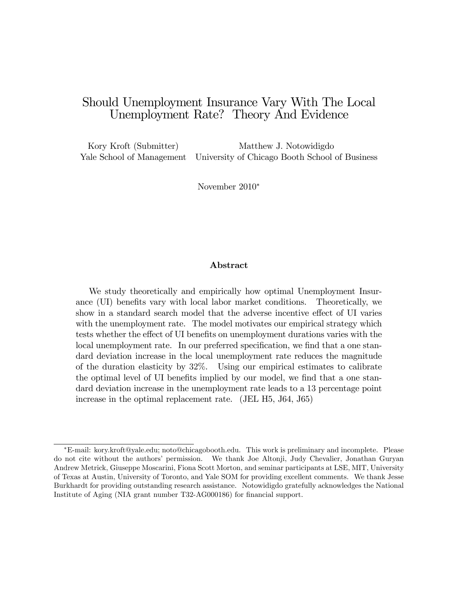# Should Unemployment Insurance Vary With The Local Unemployment Rate? Theory And Evidence

Kory Kroft (Submitter) Matthew J. Notowidigdo Yale School of Management University of Chicago Booth School of Business

November 2010

#### Abstract

We study theoretically and empirically how optimal Unemployment Insurance (UI) benefits vary with local labor market conditions. Theoretically, we show in a standard search model that the adverse incentive effect of UI varies with the unemployment rate. The model motivates our empirical strategy which tests whether the effect of UI benefits on unemployment durations varies with the local unemployment rate. In our preferred specification, we find that a one standard deviation increase in the local unemployment rate reduces the magnitude of the duration elasticity by 32%. Using our empirical estimates to calibrate the optimal level of UI benefits implied by our model, we find that a one standard deviation increase in the unemployment rate leads to a 13 percentage point increase in the optimal replacement rate. (JEL H5, J64, J65)

E-mail: kory.kroft@yale.edu; noto@chicagobooth.edu. This work is preliminary and incomplete. Please do not cite without the authors' permission. We thank Joe Altonji, Judy Chevalier, Jonathan Guryan Andrew Metrick, Giuseppe Moscarini, Fiona Scott Morton, and seminar participants at LSE, MIT, University of Texas at Austin, University of Toronto, and Yale SOM for providing excellent comments. We thank Jesse Burkhardt for providing outstanding research assistance. Notowidigdo gratefully acknowledges the National Institute of Aging (NIA grant number T32-AG000186) for financial support.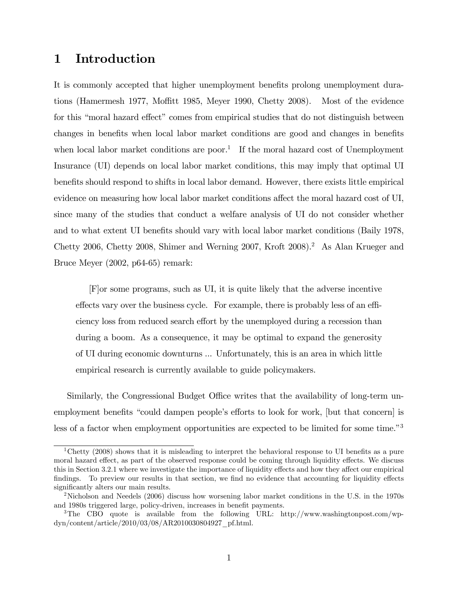# 1 Introduction

It is commonly accepted that higher unemployment benefits prolong unemployment durations (Hamermesh 1977, Moffitt 1985, Meyer 1990, Chetty 2008). Most of the evidence for this "moral hazard effect" comes from empirical studies that do not distinguish between changes in benefits when local labor market conditions are good and changes in benefits when local labor market conditions are poor.<sup>1</sup> If the moral hazard cost of Unemployment Insurance (UI) depends on local labor market conditions, this may imply that optimal UI benefits should respond to shifts in local labor demand. However, there exists little empirical evidence on measuring how local labor market conditions affect the moral hazard cost of UI, since many of the studies that conduct a welfare analysis of UI do not consider whether and to what extent UI benefits should vary with local labor market conditions (Baily 1978, Chetty 2006, Chetty 2008, Shimer and Werning 2007, Kroft 2008).<sup>2</sup> As Alan Krueger and Bruce Meyer (2002, p64-65) remark:

[F]or some programs, such as UI, it is quite likely that the adverse incentive effects vary over the business cycle. For example, there is probably less of an efficiency loss from reduced search effort by the unemployed during a recession than during a boom. As a consequence, it may be optimal to expand the generosity of UI during economic downturns ... Unfortunately, this is an area in which little empirical research is currently available to guide policymakers.

Similarly, the Congressional Budget Office writes that the availability of long-term unemployment benefits "could dampen people's efforts to look for work, [but that concern] is less of a factor when employment opportunities are expected to be limited for some time.<sup> $3$ </sup>

<sup>&</sup>lt;sup>1</sup>Chetty (2008) shows that it is misleading to interpret the behavioral response to UI benefits as a pure moral hazard effect, as part of the observed response could be coming through liquidity effects. We discuss this in Section 3.2.1 where we investigate the importance of liquidity effects and how they affect our empirical findings. To preview our results in that section, we find no evidence that accounting for liquidity effects significantly alters our main results.

<sup>2</sup>Nicholson and Needels (2006) discuss how worsening labor market conditions in the U.S. in the 1970s and 1980s triggered large, policy-driven, increases in benefit payments.

<sup>&</sup>lt;sup>3</sup>The CBO quote is available from the following URL: http://www.washingtonpost.com/wpdyn/content/article/2010/03/08/AR2010030804927\_pf.html.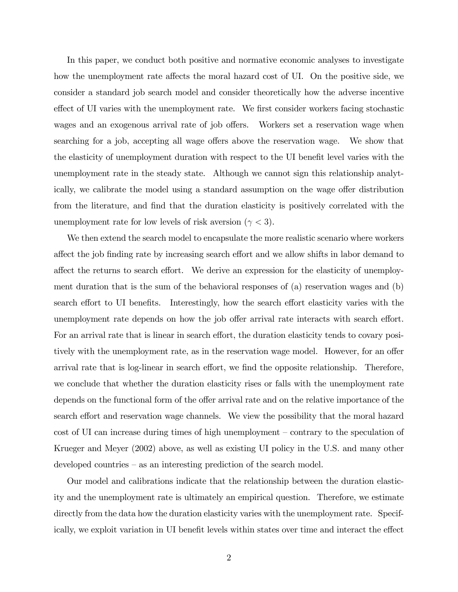In this paper, we conduct both positive and normative economic analyses to investigate how the unemployment rate affects the moral hazard cost of UI. On the positive side, we consider a standard job search model and consider theoretically how the adverse incentive effect of UI varies with the unemployment rate. We first consider workers facing stochastic wages and an exogenous arrival rate of job offers. Workers set a reservation wage when searching for a job, accepting all wage offers above the reservation wage. We show that the elasticity of unemployment duration with respect to the UI benefit level varies with the unemployment rate in the steady state. Although we cannot sign this relationship analytically, we calibrate the model using a standard assumption on the wage offer distribution from the literature, and find that the duration elasticity is positively correlated with the unemployment rate for low levels of risk aversion ( $\gamma$  < 3).

We then extend the search model to encapsulate the more realistic scenario where workers affect the job finding rate by increasing search effort and we allow shifts in labor demand to affect the returns to search effort. We derive an expression for the elasticity of unemployment duration that is the sum of the behavioral responses of (a) reservation wages and (b) search effort to UI benefits. Interestingly, how the search effort elasticity varies with the unemployment rate depends on how the job offer arrival rate interacts with search effort. For an arrival rate that is linear in search effort, the duration elasticity tends to covary positively with the unemployment rate, as in the reservation wage model. However, for an offer arrival rate that is log-linear in search effort, we find the opposite relationship. Therefore, we conclude that whether the duration elasticity rises or falls with the unemployment rate depends on the functional form of the offer arrival rate and on the relative importance of the search effort and reservation wage channels. We view the possibility that the moral hazard cost of UI can increase during times of high unemployment – contrary to the speculation of Krueger and Meyer (2002) above, as well as existing UI policy in the U.S. and many other developed countries  $-$  as an interesting prediction of the search model.

Our model and calibrations indicate that the relationship between the duration elasticity and the unemployment rate is ultimately an empirical question. Therefore, we estimate directly from the data how the duration elasticity varies with the unemployment rate. Specifically, we exploit variation in UI benefit levels within states over time and interact the effect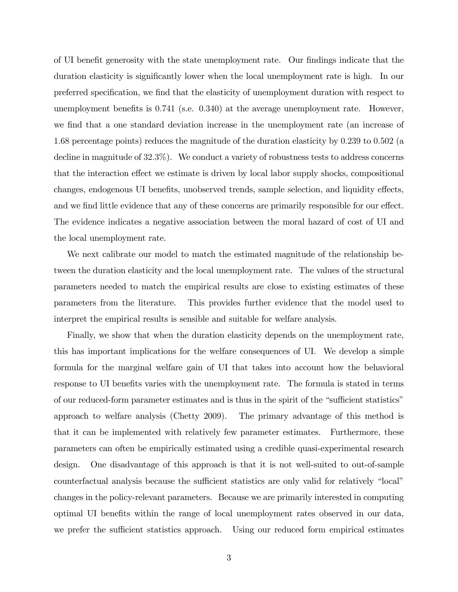of UI benefit generosity with the state unemployment rate. Our findings indicate that the duration elasticity is significantly lower when the local unemployment rate is high. In our preferred specification, we find that the elasticity of unemployment duration with respect to unemployment benefits is  $0.741$  (s.e.  $0.340$ ) at the average unemployment rate. However, we find that a one standard deviation increase in the unemployment rate (an increase of 1.68 percentage points) reduces the magnitude of the duration elasticity by 0.239 to 0.502 (a decline in magnitude of  $32.3\%$ ). We conduct a variety of robustness tests to address concerns that the interaction effect we estimate is driven by local labor supply shocks, compositional changes, endogenous UI benefits, unobserved trends, sample selection, and liquidity effects, and we find little evidence that any of these concerns are primarily responsible for our effect. The evidence indicates a negative association between the moral hazard of cost of UI and the local unemployment rate.

We next calibrate our model to match the estimated magnitude of the relationship between the duration elasticity and the local unemployment rate. The values of the structural parameters needed to match the empirical results are close to existing estimates of these parameters from the literature. This provides further evidence that the model used to interpret the empirical results is sensible and suitable for welfare analysis.

Finally, we show that when the duration elasticity depends on the unemployment rate, this has important implications for the welfare consequences of UI. We develop a simple formula for the marginal welfare gain of UI that takes into account how the behavioral response to UI benefits varies with the unemployment rate. The formula is stated in terms of our reduced-form parameter estimates and is thus in the spirit of the "sufficient statistics" approach to welfare analysis (Chetty 2009). The primary advantage of this method is that it can be implemented with relatively few parameter estimates. Furthermore, these parameters can often be empirically estimated using a credible quasi-experimental research design. One disadvantage of this approach is that it is not well-suited to out-of-sample counterfactual analysis because the sufficient statistics are only valid for relatively "local" changes in the policy-relevant parameters. Because we are primarily interested in computing optimal UI benefits within the range of local unemployment rates observed in our data, we prefer the sufficient statistics approach. Using our reduced form empirical estimates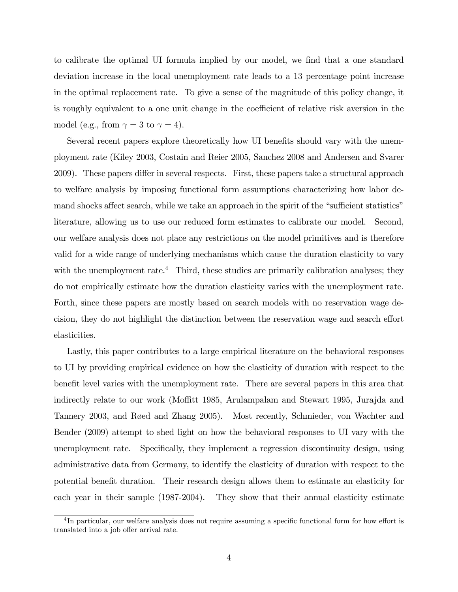to calibrate the optimal UI formula implied by our model, we find that a one standard deviation increase in the local unemployment rate leads to a 13 percentage point increase in the optimal replacement rate. To give a sense of the magnitude of this policy change, it is roughly equivalent to a one unit change in the coefficient of relative risk aversion in the model (e.g., from  $\gamma = 3$  to  $\gamma = 4$ ).

Several recent papers explore theoretically how UI benefits should vary with the unemployment rate (Kiley 2003, Costain and Reier 2005, Sanchez 2008 and Andersen and Svarer 2009). These papers differ in several respects. First, these papers take a structural approach to welfare analysis by imposing functional form assumptions characterizing how labor demand shocks affect search, while we take an approach in the spirit of the "sufficient statistics" literature, allowing us to use our reduced form estimates to calibrate our model. Second, our welfare analysis does not place any restrictions on the model primitives and is therefore valid for a wide range of underlying mechanisms which cause the duration elasticity to vary with the unemployment rate.<sup>4</sup> Third, these studies are primarily calibration analyses; they do not empirically estimate how the duration elasticity varies with the unemployment rate. Forth, since these papers are mostly based on search models with no reservation wage decision, they do not highlight the distinction between the reservation wage and search effort elasticities.

Lastly, this paper contributes to a large empirical literature on the behavioral responses to UI by providing empirical evidence on how the elasticity of duration with respect to the benefit level varies with the unemployment rate. There are several papers in this area that indirectly relate to our work (Moffitt 1985, Arulampalam and Stewart 1995, Jurajda and Tannery 2003, and Røed and Zhang 2005). Most recently, Schmieder, von Wachter and Bender (2009) attempt to shed light on how the behavioral responses to UI vary with the unemployment rate. Specifically, they implement a regression discontinuity design, using administrative data from Germany, to identify the elasticity of duration with respect to the potential benefit duration. Their research design allows them to estimate an elasticity for each year in their sample (1987-2004). They show that their annual elasticity estimate

<sup>&</sup>lt;sup>4</sup>In particular, our welfare analysis does not require assuming a specific functional form for how effort is translated into a job offer arrival rate.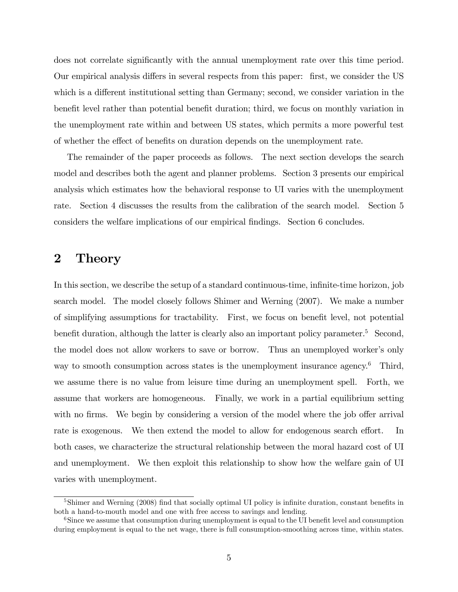does not correlate significantly with the annual unemployment rate over this time period. Our empirical analysis differs in several respects from this paper: first, we consider the US which is a different institutional setting than Germany; second, we consider variation in the benefit level rather than potential benefit duration; third, we focus on monthly variation in the unemployment rate within and between US states, which permits a more powerful test of whether the effect of benefits on duration depends on the unemployment rate.

The remainder of the paper proceeds as follows. The next section develops the search model and describes both the agent and planner problems. Section 3 presents our empirical analysis which estimates how the behavioral response to UI varies with the unemployment rate. Section 4 discusses the results from the calibration of the search model. Section 5 considers the welfare implications of our empirical findings. Section 6 concludes.

## 2 Theory

In this section, we describe the setup of a standard continuous-time, infinite-time horizon, job search model. The model closely follows Shimer and Werning (2007). We make a number of simplifying assumptions for tractability. First, we focus on benefit level, not potential benefit duration, although the latter is clearly also an important policy parameter.<sup>5</sup> Second, the model does not allow workers to save or borrow. Thus an unemployed worker's only way to smooth consumption across states is the unemployment insurance agency.<sup>6</sup> Third, we assume there is no value from leisure time during an unemployment spell. Forth, we assume that workers are homogeneous. Finally, we work in a partial equilibrium setting with no firms. We begin by considering a version of the model where the job offer arrival rate is exogenous. We then extend the model to allow for endogenous search effort. In both cases, we characterize the structural relationship between the moral hazard cost of UI and unemployment. We then exploit this relationship to show how the welfare gain of UI varies with unemployment.

 $5\,\mathrm{Shimer}$  and Werning (2008) find that socially optimal UI policy is infinite duration, constant benefits in both a hand-to-mouth model and one with free access to savings and lending.

<sup>&</sup>lt;sup>6</sup>Since we assume that consumption during unemployment is equal to the UI benefit level and consumption during employment is equal to the net wage, there is full consumption-smoothing across time, within states.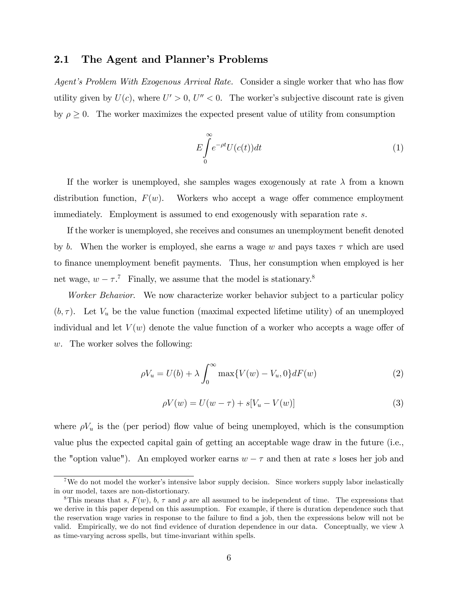### 2.1 The Agent and Planner's Problems

Agent's Problem With Exogenous Arrival Rate. Consider a single worker that who has flow utility given by  $U(c)$ , where  $U' > 0$ ,  $U'' < 0$ . The worker's subjective discount rate is given by  $\rho \geq 0$ . The worker maximizes the expected present value of utility from consumption

$$
E\int_{0}^{\infty}e^{-\rho t}U(c(t))dt\tag{1}
$$

If the worker is unemployed, she samples wages exogenously at rate  $\lambda$  from a known distribution function,  $F(w)$ . Workers who accept a wage offer commence employment immediately. Employment is assumed to end exogenously with separation rate s.

If the worker is unemployed, she receives and consumes an unemployment benefit denoted by b. When the worker is employed, she earns a wage w and pays taxes  $\tau$  which are used to finance unemployment benefit payments. Thus, her consumption when employed is her net wage,  $w - \tau$ .<sup>7</sup> Finally, we assume that the model is stationary.<sup>8</sup>

Worker Behavior. We now characterize worker behavior subject to a particular policy  $(b, \tau)$ . Let  $V_u$  be the value function (maximal expected lifetime utility) of an unemployed individual and let  $V(w)$  denote the value function of a worker who accepts a wage offer of w. The worker solves the following:

$$
\rho V_u = U(b) + \lambda \int_0^\infty \max\{V(w) - V_u, 0\} dF(w)
$$
 (2)

$$
\rho V(w) = U(w - \tau) + s[V_u - V(w)] \tag{3}
$$

where  $\rho V_u$  is the (per period) flow value of being unemployed, which is the consumption value plus the expected capital gain of getting an acceptable wage draw in the future (i.e., the "option value"). An employed worker earns  $w - \tau$  and then at rate s loses her job and

<sup>&</sup>lt;sup>7</sup>We do not model the worker's intensive labor supply decision. Since workers supply labor inelastically in our model, taxes are non-distortionary.

<sup>&</sup>lt;sup>8</sup>This means that s,  $F(w)$ , b,  $\tau$  and  $\rho$  are all assumed to be independent of time. The expressions that we derive in this paper depend on this assumption. For example, if there is duration dependence such that the reservation wage varies in response to the failure to find a job, then the expressions below will not be valid. Empirically, we do not find evidence of duration dependence in our data. Conceptually, we view  $\lambda$ as time-varying across spells, but time-invariant within spells.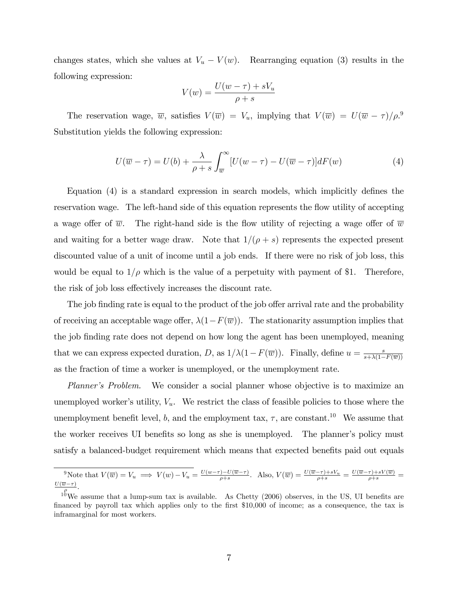changes states, which she values at  $V_u - V(w)$ . Rearranging equation (3) results in the following expression:

$$
V(w) = \frac{U(w - \tau) + sV_u}{\rho + s}
$$

The reservation wage,  $\overline{w}$ , satisfies  $V(\overline{w}) = V_u$ , implying that  $V(\overline{w}) = U(\overline{w} - \tau)/\rho$ . Substitution yields the following expression:

$$
U(\overline{w} - \tau) = U(b) + \frac{\lambda}{\rho + s} \int_{\overline{w}}^{\infty} [U(w - \tau) - U(\overline{w} - \tau)] dF(w)
$$
 (4)

Equation  $(4)$  is a standard expression in search models, which implicitly defines the reservation wage. The left-hand side of this equation represents the flow utility of accepting a wage offer of  $\overline{w}$ . The right-hand side is the flow utility of rejecting a wage offer of  $\overline{w}$ and waiting for a better wage draw. Note that  $1/(\rho + s)$  represents the expected present discounted value of a unit of income until a job ends. If there were no risk of job loss, this would be equal to  $1/\rho$  which is the value of a perpetuity with payment of \$1. Therefore, the risk of job loss effectively increases the discount rate.

The job finding rate is equal to the product of the job offer arrival rate and the probability of receiving an acceptable wage offer,  $\lambda(1-F(\overline{w}))$ . The stationarity assumption implies that the job Önding rate does not depend on how long the agent has been unemployed, meaning that we can express expected duration, D, as  $1/\lambda(1-F(\overline{w}))$ . Finally, define  $u = \frac{s}{s+\lambda(1-\lambda)}$  $s+\lambda(1-F(\overline{w}))$ as the fraction of time a worker is unemployed, or the unemployment rate.

Planner's Problem. We consider a social planner whose objective is to maximize an unemployed worker's utility,  $V_u$ . We restrict the class of feasible policies to those where the unemployment benefit level, b, and the employment tax,  $\tau$ , are constant.<sup>10</sup> We assume that the worker receives UI benefits so long as she is unemployed. The planner's policy must satisfy a balanced-budget requirement which means that expected benefits paid out equals

Write that  $V(\overline{w}) = V_u \implies V(w) - V_u = \frac{U(w-\tau) - U(\overline{w}-\tau)}{\rho+s}$ . Also,  $V(\overline{w}) = \frac{U(\overline{w}-\tau)+sV_u}{\rho+s} = \frac{U(\overline{w}-\tau)+sV(\overline{w})}{\rho+s}$  $\frac{U(\overline{w}-\tau)}{a}$ .

 $10^6$ We assume that a lump-sum tax is available. As Chetty (2006) observes, in the US, UI benefits are financed by payroll tax which applies only to the first \$10,000 of income; as a consequence, the tax is inframarginal for most workers.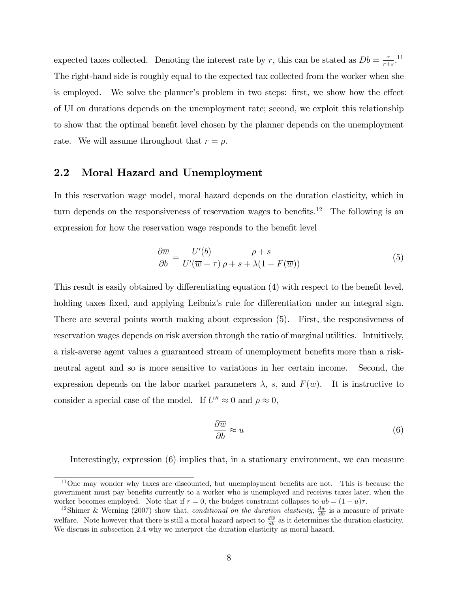expected taxes collected. Denoting the interest rate by r, this can be stated as  $Db = \frac{7}{r+1}$  $\frac{\tau}{r+s}$ .<sup>11</sup> The right-hand side is roughly equal to the expected tax collected from the worker when she is employed. We solve the planner's problem in two steps: first, we show how the effect of UI on durations depends on the unemployment rate; second, we exploit this relationship to show that the optimal benefit level chosen by the planner depends on the unemployment rate. We will assume throughout that  $r = \rho$ .

### 2.2 Moral Hazard and Unemployment

In this reservation wage model, moral hazard depends on the duration elasticity, which in turn depends on the responsiveness of reservation wages to benefits.<sup>12</sup> The following is an expression for how the reservation wage responds to the benefit level

$$
\frac{\partial \overline{w}}{\partial b} = \frac{U'(b)}{U'(\overline{w} - \tau)} \frac{\rho + s}{\rho + s + \lambda(1 - F(\overline{w}))}
$$
(5)

This result is easily obtained by differentiating equation  $(4)$  with respect to the benefit level, holding taxes fixed, and applying Leibniz's rule for differentiation under an integral sign. There are several points worth making about expression (5). First, the responsiveness of reservation wages depends on risk aversion through the ratio of marginal utilities. Intuitively, a risk-averse agent values a guaranteed stream of unemployment benefits more than a riskneutral agent and so is more sensitive to variations in her certain income. Second, the expression depends on the labor market parameters  $\lambda$ , s, and  $F(w)$ . It is instructive to consider a special case of the model. If  $U'' \approx 0$  and  $\rho \approx 0$ ,

$$
\frac{\partial \overline{w}}{\partial b} \approx u \tag{6}
$$

Interestingly, expression (6) implies that, in a stationary environment, we can measure

 $11$ One may wonder why taxes are discounted, but unemployment benefits are not. This is because the government must pay benefits currently to a worker who is unemployed and receives taxes later, when the worker becomes employed. Note that if  $r = 0$ , the budget constraint collapses to  $ub = (1 - u)\tau$ .

<sup>&</sup>lt;sup>12</sup>Shimer & Werning (2007) show that, conditional on the duration elasticity,  $\frac{d\overline{w}}{db}$  is a measure of private welfare. Note however that there is still a moral hazard aspect to  $\frac{d\overline{w}}{db}$  as it determines the duration elasticity. We discuss in subsection 2.4 why we interpret the duration elasticity as moral hazard.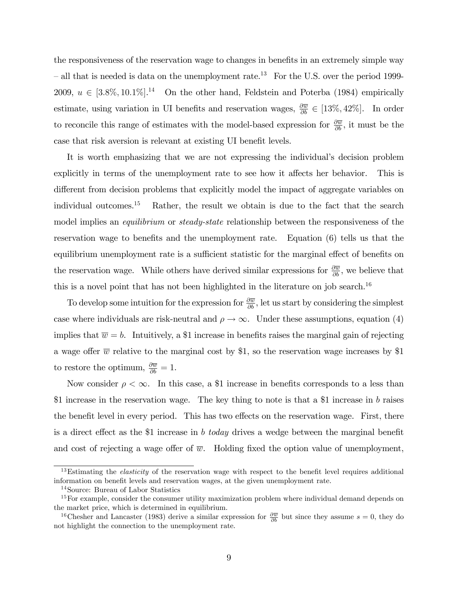the responsiveness of the reservation wage to changes in benefits in an extremely simple way  $\sim$  all that is needed is data on the unemployment rate.<sup>13</sup> For the U.S. over the period 1999-2009,  $u \in [3.8\%, 10.1\%]$ <sup>14</sup> On the other hand, Feldstein and Poterba (1984) empirically estimate, using variation in UI benefits and reservation wages,  $\frac{\partial \overline{w}}{\partial b} \in [13\%, 42\%]$ . In order to reconcile this range of estimates with the model-based expression for  $\frac{\partial \overline{w}}{\partial b}$ , it must be the case that risk aversion is relevant at existing UI benefit levels.

It is worth emphasizing that we are not expressing the individual's decision problem explicitly in terms of the unemployment rate to see how it affects her behavior. This is different from decision problems that explicitly model the impact of aggregate variables on individual outcomes.<sup>15</sup> Rather, the result we obtain is due to the fact that the search model implies an *equilibrium* or *steady-state* relationship between the responsiveness of the reservation wage to benefits and the unemployment rate. Equation (6) tells us that the equilibrium unemployment rate is a sufficient statistic for the marginal effect of benefits on the reservation wage. While others have derived similar expressions for  $\frac{\partial \overline{w}}{\partial b}$ , we believe that this is a novel point that has not been highlighted in the literature on job search.<sup>16</sup>

To develop some intuition for the expression for  $\frac{\partial \overline{w}}{\partial b}$ , let us start by considering the simplest case where individuals are risk-neutral and  $\rho \to \infty$ . Under these assumptions, equation (4) implies that  $\overline{w} = b$ . Intuitively, a \$1 increase in benefits raises the marginal gain of rejecting a wage offer  $\overline{w}$  relative to the marginal cost by \$1, so the reservation wage increases by \$1 to restore the optimum,  $\frac{\partial \overline{w}}{\partial b} = 1$ .

Now consider  $\rho < \infty$ . In this case, a \$1 increase in benefits corresponds to a less than \$1 increase in the reservation wage. The key thing to note is that a \$1 increase in b raises the benefit level in every period. This has two effects on the reservation wage. First, there is a direct effect as the \$1 increase in b today drives a wedge between the marginal benefit and cost of rejecting a wage offer of  $\overline{w}$ . Holding fixed the option value of unemployment,

 $13$ Estimating the *elasticity* of the reservation wage with respect to the benefit level requires additional information on benefit levels and reservation wages, at the given unemployment rate.

<sup>14</sup>Source: Bureau of Labor Statistics

<sup>&</sup>lt;sup>15</sup>For example, consider the consumer utility maximization problem where individual demand depends on the market price, which is determined in equilibrium.

<sup>&</sup>lt;sup>16</sup>Chesher and Lancaster (1983) derive a similar expression for  $\frac{\partial \overline{w}}{\partial b}$  but since they assume  $s = 0$ , they do not highlight the connection to the unemployment rate.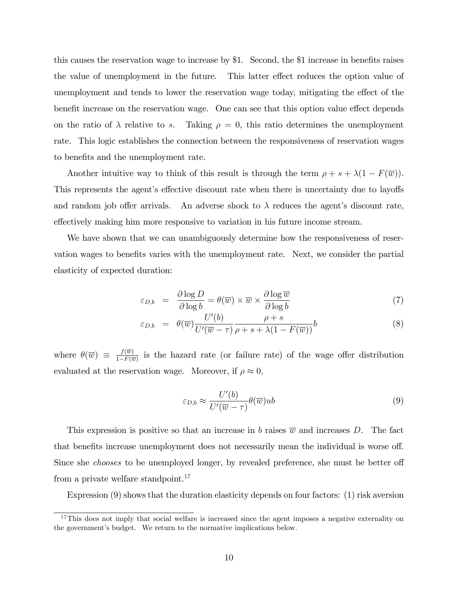this causes the reservation wage to increase by \$1. Second, the \$1 increase in benefits raises the value of unemployment in the future. This latter effect reduces the option value of unemployment and tends to lower the reservation wage today, mitigating the effect of the benefit increase on the reservation wage. One can see that this option value effect depends on the ratio of  $\lambda$  relative to s. Taking  $\rho = 0$ , this ratio determines the unemployment rate. This logic establishes the connection between the responsiveness of reservation wages to benefits and the unemployment rate.

Another intuitive way to think of this result is through the term  $\rho + s + \lambda(1 - F(\overline{w}))$ . This represents the agent's effective discount rate when there is uncertainty due to layoffs and random job offer arrivals. An adverse shock to  $\lambda$  reduces the agent's discount rate, effectively making him more responsive to variation in his future income stream.

We have shown that we can unambiguously determine how the responsiveness of reservation wages to benefits varies with the unemployment rate. Next, we consider the partial elasticity of expected duration:

$$
\varepsilon_{D,b} = \frac{\partial \log D}{\partial \log b} = \theta(\overline{w}) \times \overline{w} \times \frac{\partial \log \overline{w}}{\partial \log b} \tag{7}
$$

$$
\varepsilon_{D,b} = \theta(\overline{w}) \frac{U'(b)}{U'(\overline{w}-\tau)} \frac{\rho+s}{\rho+s+\lambda(1-F(\overline{w}))} b \tag{8}
$$

where  $\theta(\overline{w}) \equiv \frac{f(\overline{w})}{1-F(\overline{v})}$  $\frac{J(w)}{1-F(\overline{w})}$  is the hazard rate (or failure rate) of the wage offer distribution evaluated at the reservation wage. Moreover, if  $\rho \approx 0$ ,

$$
\varepsilon_{D,b} \approx \frac{U'(b)}{U'(\overline{w}-\tau)} \theta(\overline{w})ub
$$
\n(9)

This expression is positive so that an increase in b raises  $\overline{w}$  and increases D. The fact that benefits increase unemployment does not necessarily mean the individual is worse off. Since she *chooses* to be unemployed longer, by revealed preference, she must be better of from a private welfare standpoint.<sup>17</sup>

Expression (9) shows that the duration elasticity depends on four factors: (1) risk aversion

<sup>&</sup>lt;sup>17</sup>This does not imply that social welfare is increased since the agent imposes a negative externality on the government's budget. We return to the normative implications below.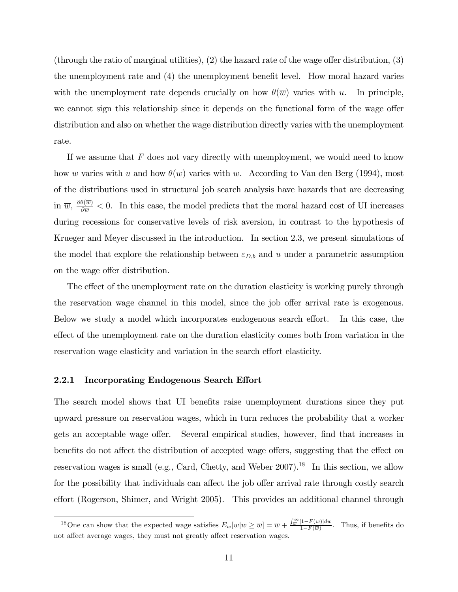(through the ratio of marginal utilities),  $(2)$  the hazard rate of the wage offer distribution,  $(3)$ the unemployment rate and  $(4)$  the unemployment benefit level. How moral hazard varies with the unemployment rate depends crucially on how  $\theta(\overline{w})$  varies with u. In principle, we cannot sign this relationship since it depends on the functional form of the wage offer distribution and also on whether the wage distribution directly varies with the unemployment rate.

If we assume that  $F$  does not vary directly with unemployment, we would need to know how  $\overline{w}$  varies with u and how  $\theta(\overline{w})$  varies with  $\overline{w}$ . According to Van den Berg (1994), most of the distributions used in structural job search analysis have hazards that are decreasing in  $\overline{w}$ ,  $\frac{\partial \theta(\overline{w})}{\partial \overline{w}}$  < 0. In this case, the model predicts that the moral hazard cost of UI increases during recessions for conservative levels of risk aversion, in contrast to the hypothesis of Krueger and Meyer discussed in the introduction. In section 2.3, we present simulations of the model that explore the relationship between  $\varepsilon_{D,b}$  and u under a parametric assumption on the wage offer distribution.

The effect of the unemployment rate on the duration elasticity is working purely through the reservation wage channel in this model, since the job offer arrival rate is exogenous. Below we study a model which incorporates endogenous search effort. In this case, the effect of the unemployment rate on the duration elasticity comes both from variation in the reservation wage elasticity and variation in the search effort elasticity.

#### 2.2.1 Incorporating Endogenous Search Effort

The search model shows that UI benefits raise unemployment durations since they put upward pressure on reservation wages, which in turn reduces the probability that a worker gets an acceptable wage offer. Several empirical studies, however, find that increases in benefits do not affect the distribution of accepted wage offers, suggesting that the effect on reservation wages is small (e.g., Card, Chetty, and Weber 2007).<sup>18</sup> In this section, we allow for the possibility that individuals can affect the job offer arrival rate through costly search effort (Rogerson, Shimer, and Wright 2005). This provides an additional channel through

<sup>&</sup>lt;sup>18</sup>One can show that the expected wage satisfies  $E_w[w|w \ge \overline{w}] = \overline{w} + \frac{\int_{\overline{w}}^{\infty} [1 - F(w)] dw}{1 - F(\overline{w})}$  $\frac{(1-F(w))dw}{1-F(\overline{w})}$ . Thus, if benefits do not affect average wages, they must not greatly affect reservation wages.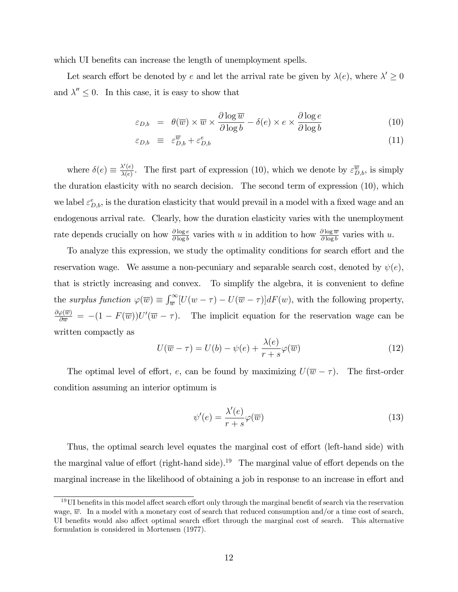which UI benefits can increase the length of unemployment spells.

Let search effort be denoted by e and let the arrival rate be given by  $\lambda(e)$ , where  $\lambda' \geq 0$ and  $\lambda'' \leq 0$ . In this case, it is easy to show that

$$
\varepsilon_{D,b} = \theta(\overline{w}) \times \overline{w} \times \frac{\partial \log \overline{w}}{\partial \log b} - \delta(e) \times e \times \frac{\partial \log e}{\partial \log b}
$$
(10)

$$
\varepsilon_{D,b} \equiv \varepsilon_{D,b}^{\overline{w}} + \varepsilon_{D,b}^{e} \tag{11}
$$

where  $\delta(e) \equiv \frac{\lambda'(e)}{\lambda(e)}$  $\frac{\partial \chi(e)}{\partial(e)}$ . The first part of expression (10), which we denote by  $\varepsilon_{D,b}^{\overline{w}}$ , is simply the duration elasticity with no search decision. The second term of expression (10), which we label  $\varepsilon_{D,b}^e$ , is the duration elasticity that would prevail in a model with a fixed wage and an endogenous arrival rate. Clearly, how the duration elasticity varies with the unemployment rate depends crucially on how  $\frac{\partial \log e}{\partial \log b}$  varies with u in addition to how  $\frac{\partial \log \overline{w}}{\partial \log b}$  varies with u.

To analyze this expression, we study the optimality conditions for search effort and the reservation wage. We assume a non-pecuniary and separable search cost, denoted by  $\psi(e)$ , that is strictly increasing and convex. To simplify the algebra, it is convenient to define the surplus function  $\varphi(\overline{w}) \equiv \int_{\overline{w}}^{\infty} [U(w - \tau) - U(\overline{w} - \tau)] dF(w)$ , with the following property,  $\frac{\partial \varphi(\overline{w})}{\partial \overline{w}} = -(1 - F(\overline{w}))U'(\overline{w} - \tau)$ . The implicit equation for the reservation wage can be written compactly as

$$
U(\overline{w} - \tau) = U(b) - \psi(e) + \frac{\lambda(e)}{r + s} \varphi(\overline{w})
$$
\n(12)

The optimal level of effort, e, can be found by maximizing  $U(\overline{w} - \tau)$ . The first-order condition assuming an interior optimum is

$$
\psi'(e) = \frac{\lambda'(e)}{r+s} \varphi(\overline{w})
$$
\n(13)

Thus, the optimal search level equates the marginal cost of effort (left-hand side) with the marginal value of effort (right-hand side).<sup>19</sup> The marginal value of effort depends on the marginal increase in the likelihood of obtaining a job in response to an increase in effort and

 $19$ UI benefits in this model affect search effort only through the marginal benefit of search via the reservation wage,  $\overline{w}$ . In a model with a monetary cost of search that reduced consumption and/or a time cost of search, UI benefits would also affect optimal search effort through the marginal cost of search. This alternative formulation is considered in Mortensen (1977).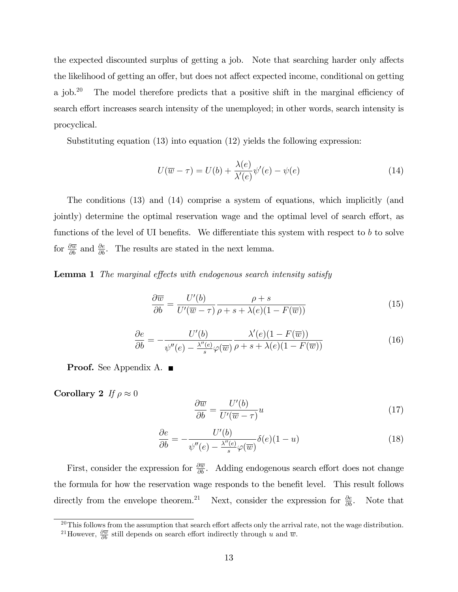the expected discounted surplus of getting a job. Note that searching harder only affects the likelihood of getting an offer, but does not affect expected income, conditional on getting a job.<sup>20</sup> The model therefore predicts that a positive shift in the marginal efficiency of search effort increases search intensity of the unemployed; in other words, search intensity is procyclical.

Substituting equation (13) into equation (12) yields the following expression:

$$
U(\overline{w} - \tau) = U(b) + \frac{\lambda(e)}{\lambda'(e)} \psi'(e) - \psi(e)
$$
\n(14)

The conditions (13) and (14) comprise a system of equations, which implicitly (and jointly) determine the optimal reservation wage and the optimal level of search effort, as functions of the level of UI benefits. We differentiate this system with respect to b to solve for  $\frac{\partial \overline{w}}{\partial b}$  and  $\frac{\partial e}{\partial b}$ . The results are stated in the next lemma.

**Lemma 1** The marginal effects with endogenous search intensity satisfy

$$
\frac{\partial \overline{w}}{\partial b} = \frac{U'(b)}{U'(\overline{w} - \tau)} \frac{\rho + s}{\rho + s + \lambda(e)(1 - F(\overline{w}))}
$$
(15)

$$
\frac{\partial e}{\partial b} = -\frac{U'(b)}{\psi''(e) - \frac{\lambda''(e)}{s}\varphi(\overline{w})} \frac{\lambda'(e)(1 - F(\overline{w}))}{\rho + s + \lambda(e)(1 - F(\overline{w}))}
$$
(16)

**Proof.** See Appendix A. ■

Corollary 2 If  $\rho \approx 0$ 

$$
\frac{\partial \overline{w}}{\partial b} = \frac{U'(b)}{U'(\overline{w} - \tau)} u \tag{17}
$$

$$
\frac{\partial e}{\partial b} = -\frac{U'(b)}{\psi''(e) - \frac{\lambda''(e)}{s}\varphi(\overline{w})} \delta(e)(1-u) \tag{18}
$$

First, consider the expression for  $\frac{\partial \overline{w}}{\partial b}$ . Adding endogenous search effort does not change the formula for how the reservation wage responds to the benefit level. This result follows directly from the envelope theorem.<sup>21</sup> Next, consider the expression for  $\frac{\partial e}{\partial b}$ . Note that

 $20$ This follows from the assumption that search effort affects only the arrival rate, not the wage distribution.

<sup>&</sup>lt;sup>21</sup>However,  $\frac{\partial \overline{w}}{\partial b}$  still depends on search effort indirectly through u and  $\overline{w}$ .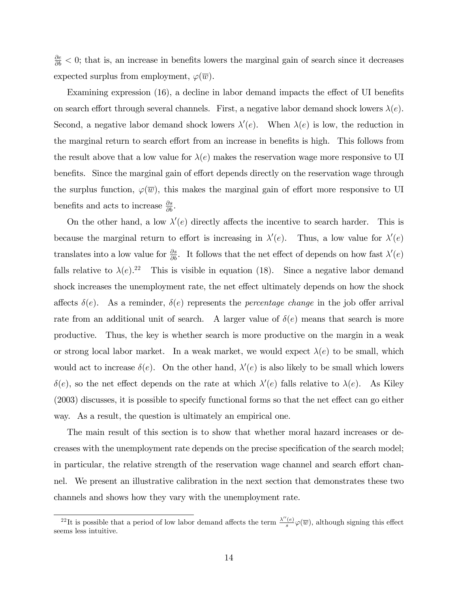$\frac{\partial e}{\partial b}$  < 0; that is, an increase in benefits lowers the marginal gain of search since it decreases expected surplus from employment,  $\varphi(\overline{w})$ .

Examining expression (16), a decline in labor demand impacts the effect of UI benefits on search effort through several channels. First, a negative labor demand shock lowers  $\lambda(e)$ . Second, a negative labor demand shock lowers  $\lambda'(e)$ . When  $\lambda(e)$  is low, the reduction in the marginal return to search effort from an increase in benefits is high. This follows from the result above that a low value for  $\lambda(e)$  makes the reservation wage more responsive to UI benefits. Since the marginal gain of effort depends directly on the reservation wage through the surplus function,  $\varphi(\overline{w})$ , this makes the marginal gain of effort more responsive to UI benefits and acts to increase  $\frac{\partial s}{\partial b}$ .

On the other hand, a low  $\lambda'(e)$  directly affects the incentive to search harder. This is because the marginal return to effort is increasing in  $\lambda'(e)$ . Thus, a low value for  $\lambda'(e)$ translates into a low value for  $\frac{\partial s}{\partial b}$ . It follows that the net effect of depends on how fast  $\lambda'(e)$ falls relative to  $\lambda(e).^{22}$  This is visible in equation (18). Since a negative labor demand shock increases the unemployment rate, the net effect ultimately depends on how the shock affects  $\delta(e)$ . As a reminder,  $\delta(e)$  represents the *percentage change* in the job offer arrival rate from an additional unit of search. A larger value of  $\delta(e)$  means that search is more productive. Thus, the key is whether search is more productive on the margin in a weak or strong local labor market. In a weak market, we would expect  $\lambda(e)$  to be small, which would act to increase  $\delta(e)$ . On the other hand,  $\lambda'(e)$  is also likely to be small which lowers  $\delta(e)$ , so the net effect depends on the rate at which  $\lambda'(e)$  falls relative to  $\lambda(e)$ . As Kiley  $(2003)$  discusses, it is possible to specify functional forms so that the net effect can go either way. As a result, the question is ultimately an empirical one.

The main result of this section is to show that whether moral hazard increases or decreases with the unemployment rate depends on the precise specification of the search model; in particular, the relative strength of the reservation wage channel and search effort channel. We present an illustrative calibration in the next section that demonstrates these two channels and shows how they vary with the unemployment rate.

<sup>&</sup>lt;sup>22</sup>It is possible that a period of low labor demand affects the term  $\frac{\lambda''(e)}{s}$  $\frac{e}{s}\varphi(\overline{w})$ , although signing this effect seems less intuitive.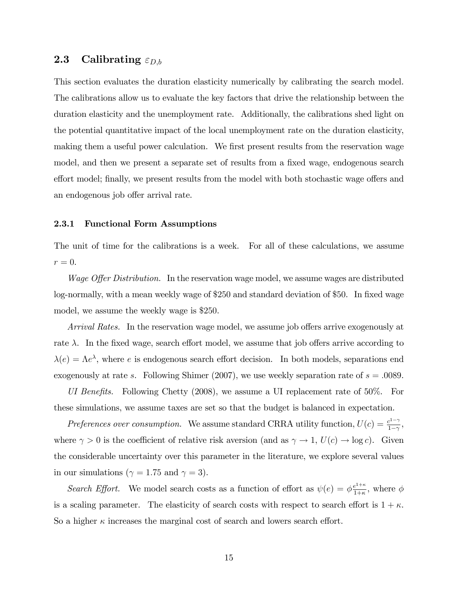## **2.3** Calibrating  $\varepsilon_{D,b}$

This section evaluates the duration elasticity numerically by calibrating the search model. The calibrations allow us to evaluate the key factors that drive the relationship between the duration elasticity and the unemployment rate. Additionally, the calibrations shed light on the potential quantitative impact of the local unemployment rate on the duration elasticity, making them a useful power calculation. We first present results from the reservation wage model, and then we present a separate set of results from a fixed wage, endogenous search effort model; finally, we present results from the model with both stochastic wage offers and an endogenous job offer arrival rate.

#### 2.3.1 Functional Form Assumptions

The unit of time for the calibrations is a week. For all of these calculations, we assume  $r=0.$ 

*Wage Offer Distribution.* In the reservation wage model, we assume wages are distributed log-normally, with a mean weekly wage of \$250 and standard deviation of \$50. In fixed wage model, we assume the weekly wage is \$250.

Arrival Rates. In the reservation wage model, we assume job offers arrive exogenously at rate  $\lambda$ . In the fixed wage, search effort model, we assume that job offers arrive according to  $\lambda(e) = \Lambda e^{\lambda}$ , where e is endogenous search effort decision. In both models, separations end exogenously at rate s. Following Shimer (2007), we use weekly separation rate of  $s = .0089$ .

UI Benefits. Following Chetty  $(2008)$ , we assume a UI replacement rate of 50%. For these simulations, we assume taxes are set so that the budget is balanced in expectation.

Preferences over consumption. We assume standard CRRA utility function,  $U(c) = \frac{c^{1-\gamma}}{1-\gamma}$  $\frac{e^{1-\gamma}}{1-\gamma}$ , where  $\gamma > 0$  is the coefficient of relative risk aversion (and as  $\gamma \to 1$ ,  $U(c) \to \log c$ ). Given the considerable uncertainty over this parameter in the literature, we explore several values in our simulations ( $\gamma = 1.75$  and  $\gamma = 3$ ).

Search Effort. We model search costs as a function of effort as  $\psi(e) = \phi \frac{e^{1+\kappa}}{1+\kappa}$  $\frac{e^{1+\kappa}}{1+\kappa}$ , where  $\phi$ is a scaling parameter. The elasticity of search costs with respect to search effort is  $1 + \kappa$ . So a higher  $\kappa$  increases the marginal cost of search and lowers search effort.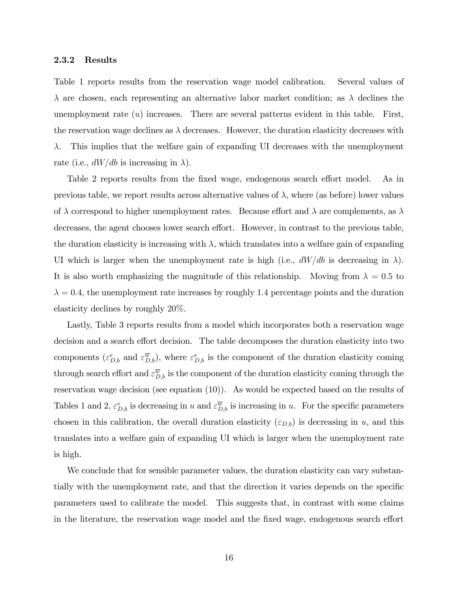#### 2.3.2 Results

Table 1 reports results from the reservation wage model calibration. Several values of  $\lambda$  are chosen, each representing an alternative labor market condition; as  $\lambda$  declines the unemployment rate  $(u)$  increases. There are several patterns evident in this table. First, the reservation wage declines as  $\lambda$  decreases. However, the duration elasticity decreases with  $\lambda$ . This implies that the welfare gain of expanding UI decreases with the unemployment rate (i.e.,  $dW/db$  is increasing in  $\lambda$ ).

Table 2 reports results from the fixed wage, endogenous search effort model. As in previous table, we report results across alternative values of  $\lambda$ , where (as before) lower values of  $\lambda$  correspond to higher unemployment rates. Because effort and  $\lambda$  are complements, as  $\lambda$ decreases, the agent chooses lower search effort. However, in contrast to the previous table, the duration elasticity is increasing with  $\lambda$ , which translates into a welfare gain of expanding UI which is larger when the unemployment rate is high (i.e.,  $dW/db$  is decreasing in  $\lambda$ ). It is also worth emphasizing the magnitude of this relationship. Moving from  $\lambda = 0.5$  to  $\lambda = 0.4$ , the unemployment rate increases by roughly 1.4 percentage points and the duration elasticity declines by roughly 20%.

Lastly, Table 3 reports results from a model which incorporates both a reservation wage decision and a search effort decision. The table decomposes the duration elasticity into two components  $(\varepsilon_{D,b}^e$  and  $\varepsilon_{D,b}^{\overline{w}})$ , where  $\varepsilon_{D,b}^e$  is the component of the duration elasticity coming through search effort and  $\varepsilon_{D,b}^{\overline{w}}$  is the component of the duration elasticity coming through the reservation wage decision (see equation (10)). As would be expected based on the results of Tables 1 and 2,  $\varepsilon_{D,b}^e$  is decreasing in u and  $\varepsilon_{D,b}^{\overline{w}}$  is increasing in u. For the specific parameters chosen in this calibration, the overall duration elasticity  $(\varepsilon_{D,b})$  is decreasing in u, and this translates into a welfare gain of expanding UI which is larger when the unemployment rate is high.

We conclude that for sensible parameter values, the duration elasticity can vary substantially with the unemployment rate, and that the direction it varies depends on the specific parameters used to calibrate the model. This suggests that, in contrast with some claims in the literature, the reservation wage model and the fixed wage, endogenous search effort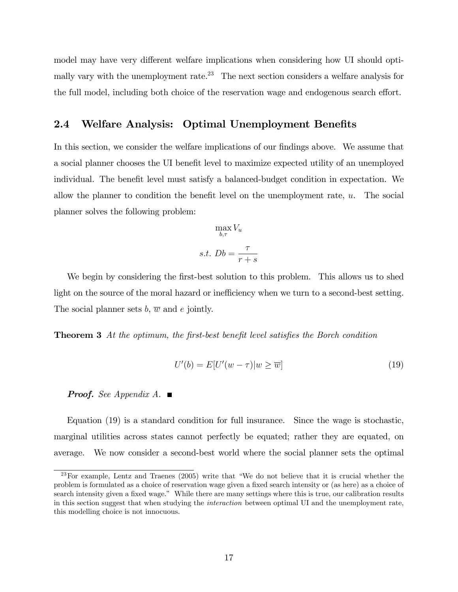model may have very different welfare implications when considering how UI should optimally vary with the unemployment rate.<sup>23</sup> The next section considers a welfare analysis for the full model, including both choice of the reservation wage and endogenous search effort.

### 2.4 Welfare Analysis: Optimal Unemployment Benefits

In this section, we consider the welfare implications of our findings above. We assume that a social planner chooses the UI benefit level to maximize expected utility of an unemployed individual. The benefit level must satisfy a balanced-budget condition in expectation. We allow the planner to condition the benefit level on the unemployment rate,  $u$ . The social planner solves the following problem:

$$
\max_{b,\tau} V_u
$$

$$
s.t. Db = \frac{\tau}{r+s}
$$

We begin by considering the first-best solution to this problem. This allows us to shed light on the source of the moral hazard or inefficiency when we turn to a second-best setting. The social planner sets b,  $\overline{w}$  and e jointly.

**Theorem 3** At the optimum, the first-best benefit level satisfies the Borch condition

$$
U'(b) = E[U'(w - \tau)|w \ge \overline{w}]
$$
\n(19)

**Proof.** See Appendix A.  $\blacksquare$ 

Equation (19) is a standard condition for full insurance. Since the wage is stochastic, marginal utilities across states cannot perfectly be equated; rather they are equated, on average. We now consider a second-best world where the social planner sets the optimal

<sup>&</sup>lt;sup>23</sup>For example, Lentz and Traenes (2005) write that "We do not believe that it is crucial whether the problem is formulated as a choice of reservation wage given a fixed search intensity or (as here) as a choice of search intensity given a fixed wage." While there are many settings where this is true, our calibration results in this section suggest that when studying the interaction between optimal UI and the unemployment rate, this modelling choice is not innocuous.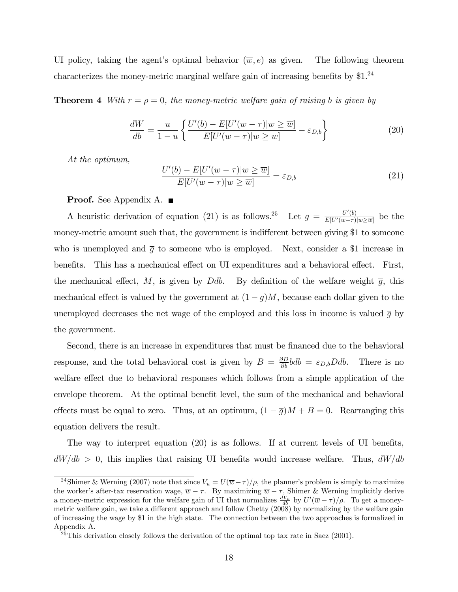UI policy, taking the agent's optimal behavior  $(\overline{w}, e)$  as given. The following theorem characterizes the money-metric marginal welfare gain of increasing benefits by  $$1.^{24}$ 

**Theorem 4** With  $r = \rho = 0$ , the money-metric welfare gain of raising b is given by

$$
\frac{dW}{db} = \frac{u}{1-u} \left\{ \frac{U'(b) - E[U'(w-\tau)]w \ge \overline{w}]}{E[U'(w-\tau)]w \ge \overline{w}]} - \varepsilon_{D,b} \right\}
$$
(20)

At the optimum,

$$
\frac{U'(b) - E[U'(w - \tau)|w \ge \overline{w}]}{E[U'(w - \tau)|w \ge \overline{w}]} = \varepsilon_{D,b}
$$
\n(21)

**Proof.** See Appendix A.  $\blacksquare$ 

A heuristic derivation of equation (21) is as follows.<sup>25</sup> Let  $\bar{g} = \frac{U'(b)}{E[II'(m-\tau)]}$  $\frac{U'(b)}{E[U'(w-\tau)|w\geq \overline{w}]}$  be the money-metric amount such that, the government is indifferent between giving \$1 to someone who is unemployed and  $\bar{g}$  to someone who is employed. Next, consider a \$1 increase in benefits. This has a mechanical effect on UI expenditures and a behavioral effect. First, the mechanical effect, M, is given by Ddb. By definition of the welfare weight  $\bar{q}$ , this mechanical effect is valued by the government at  $(1 - \overline{g})M$ , because each dollar given to the unemployed decreases the net wage of the employed and this loss in income is valued  $\bar{q}$  by the government.

Second, there is an increase in expenditures that must be financed due to the behavioral response, and the total behavioral cost is given by  $B = \frac{\partial D}{\partial b} bdb = \varepsilon_{D,b} Ddb$ . There is no welfare effect due to behavioral responses which follows from a simple application of the envelope theorem. At the optimal benefit level, the sum of the mechanical and behavioral effects must be equal to zero. Thus, at an optimum,  $(1 - \overline{g})M + B = 0$ . Rearranging this equation delivers the result.

The way to interpret equation  $(20)$  is as follows. If at current levels of UI benefits,  $dW/db > 0$ , this implies that raising UI benefits would increase welfare. Thus,  $dW/db$ 

<sup>&</sup>lt;sup>24</sup>Shimer & Werning (2007) note that since  $V_u = U(\overline{w} - \tau)/\rho$ , the planner's problem is simply to maximize the worker's after-tax reservation wage,  $\overline{w} - \tau$ . By maximizing  $\overline{w} - \tau$ , Shimer & Werning implicitly derive a money-metric expression for the welfare gain of UI that normalizes  $\frac{dV_u}{db}$  by  $U'(\overline{w}-\tau)/\rho$ . To get a moneymetric welfare gain, we take a different approach and follow Chetty (2008) by normalizing by the welfare gain of increasing the wage by \$1 in the high state. The connection between the two approaches is formalized in Appendix A.

 $25$ This derivation closely follows the derivation of the optimal top tax rate in Saez (2001).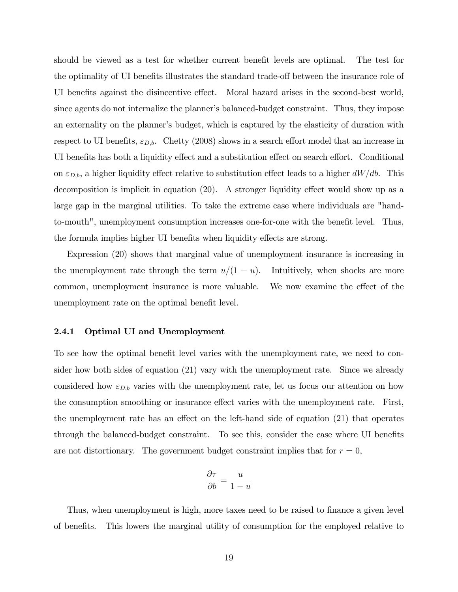should be viewed as a test for whether current benefit levels are optimal. The test for the optimality of UI benefits illustrates the standard trade-off between the insurance role of UI benefits against the disincentive effect. Moral hazard arises in the second-best world, since agents do not internalize the planner's balanced-budget constraint. Thus, they impose an externality on the planner's budget, which is captured by the elasticity of duration with respect to UI benefits,  $\varepsilon_{D,b}$ . Chetty (2008) shows in a search effort model that an increase in UI benefits has both a liquidity effect and a substitution effect on search effort. Conditional on  $\varepsilon_{D,b}$ , a higher liquidity effect relative to substitution effect leads to a higher  $dW/db$ . This decomposition is implicit in equation  $(20)$ . A stronger liquidity effect would show up as a large gap in the marginal utilities. To take the extreme case where individuals are "handto-mouth", unemployment consumption increases one-for-one with the benefit level. Thus, the formula implies higher UI benefits when liquidity effects are strong.

Expression (20) shows that marginal value of unemployment insurance is increasing in the unemployment rate through the term  $u/(1 - u)$ . Intuitively, when shocks are more common, unemployment insurance is more valuable. We now examine the effect of the unemployment rate on the optimal benefit level.

#### 2.4.1 Optimal UI and Unemployment

To see how the optimal benefit level varies with the unemployment rate, we need to consider how both sides of equation (21) vary with the unemployment rate. Since we already considered how  $\varepsilon_{D,b}$  varies with the unemployment rate, let us focus our attention on how the consumption smoothing or insurance effect varies with the unemployment rate. First, the unemployment rate has an effect on the left-hand side of equation  $(21)$  that operates through the balanced-budget constraint. To see this, consider the case where UI benefits are not distortionary. The government budget constraint implies that for  $r = 0$ ,

$$
\frac{\partial \tau}{\partial b} = \frac{u}{1 - u}
$$

Thus, when unemployment is high, more taxes need to be raised to finance a given level of benefits. This lowers the marginal utility of consumption for the employed relative to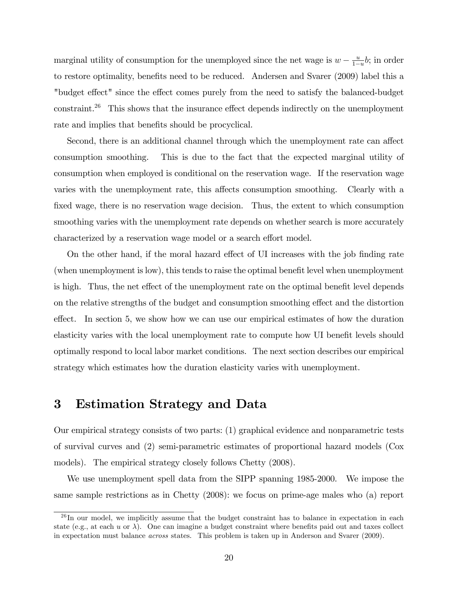marginal utility of consumption for the unemployed since the net wage is  $w - \frac{u}{1 - u}$  $\frac{u}{1-u}$ *b*; in order to restore optimality, benefits need to be reduced. Andersen and Svarer (2009) label this a "budget effect" since the effect comes purely from the need to satisfy the balanced-budget  $constant.<sup>26</sup>$  This shows that the insurance effect depends indirectly on the unemployment rate and implies that benefits should be procyclical.

Second, there is an additional channel through which the unemployment rate can affect consumption smoothing. This is due to the fact that the expected marginal utility of consumption when employed is conditional on the reservation wage. If the reservation wage varies with the unemployment rate, this affects consumption smoothing. Clearly with a fixed wage, there is no reservation wage decision. Thus, the extent to which consumption smoothing varies with the unemployment rate depends on whether search is more accurately characterized by a reservation wage model or a search effort model.

On the other hand, if the moral hazard effect of UI increases with the job finding rate (when unemployment is low), this tends to raise the optimal benefit level when unemployment is high. Thus, the net effect of the unemployment rate on the optimal benefit level depends on the relative strengths of the budget and consumption smoothing effect and the distortion effect. In section 5, we show how we can use our empirical estimates of how the duration elasticity varies with the local unemployment rate to compute how UI benefit levels should optimally respond to local labor market conditions. The next section describes our empirical strategy which estimates how the duration elasticity varies with unemployment.

# 3 Estimation Strategy and Data

Our empirical strategy consists of two parts: (1) graphical evidence and nonparametric tests of survival curves and (2) semi-parametric estimates of proportional hazard models (Cox models). The empirical strategy closely follows Chetty (2008).

We use unemployment spell data from the SIPP spanning 1985-2000. We impose the same sample restrictions as in Chetty (2008): we focus on prime-age males who (a) report

 $^{26}$ In our model, we implicitly assume that the budget constraint has to balance in expectation in each state (e.g., at each u or  $\lambda$ ). One can imagine a budget constraint where benefits paid out and taxes collect in expectation must balance across states. This problem is taken up in Anderson and Svarer (2009).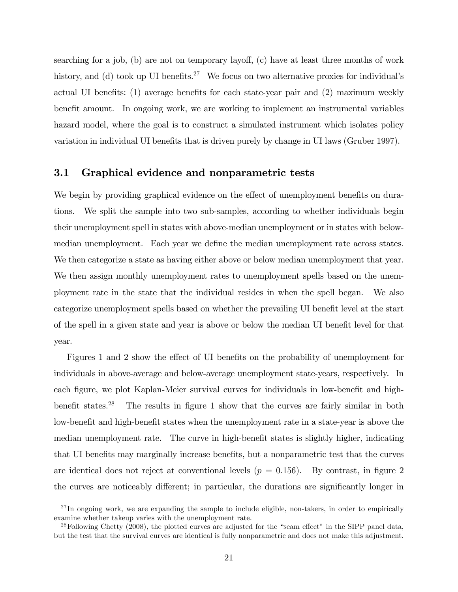searching for a job,  $(b)$  are not on temporary layoff,  $(c)$  have at least three months of work history, and (d) took up UI benefits.<sup>27</sup> We focus on two alternative proxies for individual's actual UI benefits:  $(1)$  average benefits for each state-year pair and  $(2)$  maximum weekly benefit amount. In ongoing work, we are working to implement an instrumental variables hazard model, where the goal is to construct a simulated instrument which isolates policy variation in individual UI benefits that is driven purely by change in UI laws (Gruber 1997).

### 3.1 Graphical evidence and nonparametric tests

We begin by providing graphical evidence on the effect of unemployment benefits on durations. We split the sample into two sub-samples, according to whether individuals begin their unemployment spell in states with above-median unemployment or in states with belowmedian unemployment. Each year we define the median unemployment rate across states. We then categorize a state as having either above or below median unemployment that year. We then assign monthly unemployment rates to unemployment spells based on the unemployment rate in the state that the individual resides in when the spell began. We also categorize unemployment spells based on whether the prevailing UI benefit level at the start of the spell in a given state and year is above or below the median UI benefit level for that year.

Figures 1 and 2 show the effect of UI benefits on the probability of unemployment for individuals in above-average and below-average unemployment state-years, respectively. In each figure, we plot Kaplan-Meier survival curves for individuals in low-benefit and highbenefit states.<sup>28</sup> The results in figure 1 show that the curves are fairly similar in both low-benefit and high-benefit states when the unemployment rate in a state-year is above the median unemployment rate. The curve in high-benefit states is slightly higher, indicating that UI benefits may marginally increase benefits, but a nonparametric test that the curves are identical does not reject at conventional levels  $(p = 0.156)$ . By contrast, in figure 2 the curves are noticeably different; in particular, the durations are significantly longer in

 $^{27}$ In ongoing work, we are expanding the sample to include eligible, non-takers, in order to empirically examine whether takeup varies with the unemployment rate.

 $^{28}$ Following Chetty (2008), the plotted curves are adjusted for the "seam effect" in the SIPP panel data, but the test that the survival curves are identical is fully nonparametric and does not make this adjustment.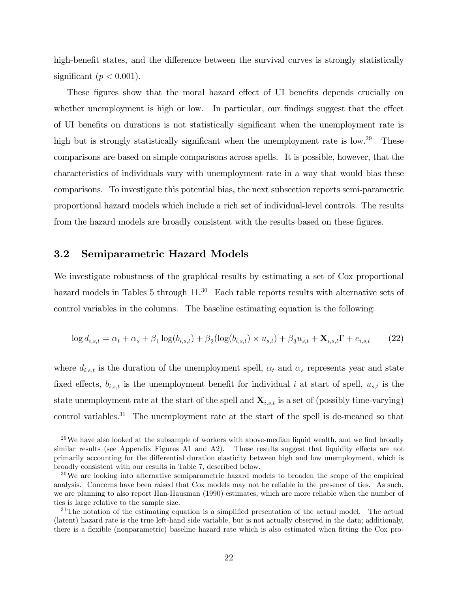high-benefit states, and the difference between the survival curves is strongly statistically significant ( $p < 0.001$ ).

These figures show that the moral hazard effect of UI benefits depends crucially on whether unemployment is high or low. In particular, our findings suggest that the effect of UI benefits on durations is not statistically significant when the unemployment rate is high but is strongly statistically significant when the unemployment rate is low.<sup>29</sup> These comparisons are based on simple comparisons across spells. It is possible, however, that the characteristics of individuals vary with unemployment rate in a way that would bias these comparisons. To investigate this potential bias, the next subsection reports semi-parametric proportional hazard models which include a rich set of individual-level controls. The results from the hazard models are broadly consistent with the results based on these figures.

### 3.2 Semiparametric Hazard Models

We investigate robustness of the graphical results by estimating a set of Cox proportional hazard models in Tables 5 through  $11.^{30}$  Each table reports results with alternative sets of control variables in the columns. The baseline estimating equation is the following:

$$
\log d_{i,s,t} = \alpha_t + \alpha_s + \beta_1 \log(b_{i,s,t}) + \beta_2 (\log(b_{i,s,t}) \times u_{s,t}) + \beta_3 u_{s,t} + \mathbf{X}_{i,s,t} \Gamma + e_{i,s,t} \tag{22}
$$

where  $d_{i,s,t}$  is the duration of the unemployment spell,  $\alpha_t$  and  $\alpha_s$  represents year and state fixed effects,  $b_{i,s,t}$  is the unemployment benefit for individual i at start of spell,  $u_{s,t}$  is the state unemployment rate at the start of the spell and  $\mathbf{X}_{i,s,t}$  is a set of (possibly time-varying) control variables.<sup>31</sup> The unemployment rate at the start of the spell is de-meaned so that

 $29$ We have also looked at the subsample of workers with above-median liquid wealth, and we find broadly similar results (see Appendix Figures A1 and A2). These results suggest that liquidity effects are not primarily accounting for the differential duration elasticity between high and low unemployment, which is broadly consistent with our results in Table 7, described below.

<sup>&</sup>lt;sup>30</sup>We are looking into alternative semiparametric hazard models to broaden the scope of the empirical analysis. Concerns have been raised that Cox models may not be reliable in the presence of ties. As such, we are planning to also report Han-Hausman (1990) estimates, which are more reliable when the number of ties is large relative to the sample size.

 $31$ The notation of the estimating equation is a simplified presentation of the actual model. The actual (latent) hazard rate is the true left-hand side variable, but is not actually observed in the data; additionaly, there is a flexible (nonparametric) baseline hazard rate which is also estimated when fitting the Cox pro-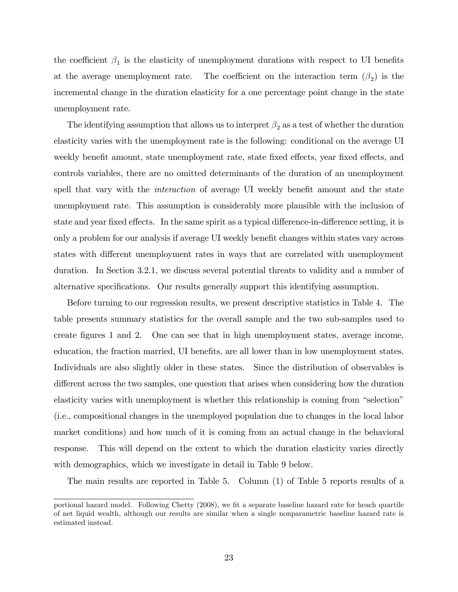the coefficient  $\beta_1$  is the elasticity of unemployment durations with respect to UI benefits at the average unemployment rate. The coefficient on the interaction term  $(\beta_2)$  is the incremental change in the duration elasticity for a one percentage point change in the state unemployment rate.

The identifying assumption that allows us to interpret  $\beta_2$  as a test of whether the duration elasticity varies with the unemployment rate is the following: conditional on the average UI weekly benefit amount, state unemployment rate, state fixed effects, year fixed effects, and controls variables, there are no omitted determinants of the duration of an unemployment spell that vary with the *interaction* of average UI weekly benefit amount and the state unemployment rate. This assumption is considerably more plausible with the inclusion of state and year fixed effects. In the same spirit as a typical difference-in-difference setting, it is only a problem for our analysis if average UI weekly benefit changes within states vary across states with different unemployment rates in ways that are correlated with unemployment duration. In Section 3.2.1, we discuss several potential threats to validity and a number of alternative specifications. Our results generally support this identifying assumption.

Before turning to our regression results, we present descriptive statistics in Table 4. The table presents summary statistics for the overall sample and the two sub-samples used to create Ögures 1 and 2. One can see that in high unemployment states, average income, education, the fraction married, UI benefits, are all lower than in low unemployment states. Individuals are also slightly older in these states. Since the distribution of observables is different across the two samples, one question that arises when considering how the duration elasticity varies with unemployment is whether this relationship is coming from "selection" (i.e., compositional changes in the unemployed population due to changes in the local labor market conditions) and how much of it is coming from an actual change in the behavioral response. This will depend on the extent to which the duration elasticity varies directly with demographics, which we investigate in detail in Table 9 below.

The main results are reported in Table 5. Column (1) of Table 5 reports results of a

portional hazard model. Following Chetty (2008), we fit a separate baseline hazard rate for heach quartile of net liquid wealth, although our results are similar when a single nonparametric baseline hazard rate is estimated instead.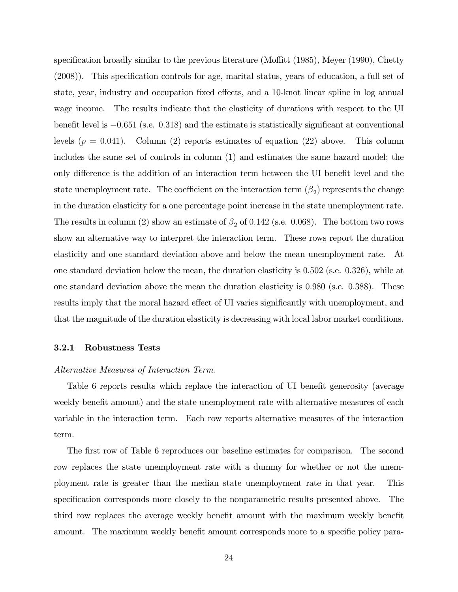specification broadly similar to the previous literature (Moffitt  $(1985)$ , Meyer  $(1990)$ , Chetty  $(2008)$ . This specification controls for age, marital status, years of education, a full set of state, year, industry and occupation fixed effects, and a 10-knot linear spline in log annual wage income. The results indicate that the elasticity of durations with respect to the UI benefit level is  $-0.651$  (s.e. 0.318) and the estimate is statistically significant at conventional levels  $(p = 0.041)$ . Column (2) reports estimates of equation (22) above. This column includes the same set of controls in column (1) and estimates the same hazard model; the only difference is the addition of an interaction term between the UI benefit level and the state unemployment rate. The coefficient on the interaction term  $(\beta_2)$  represents the change in the duration elasticity for a one percentage point increase in the state unemployment rate. The results in column (2) show an estimate of  $\beta_2$  of 0.142 (s.e. 0.068). The bottom two rows show an alternative way to interpret the interaction term. These rows report the duration elasticity and one standard deviation above and below the mean unemployment rate. At one standard deviation below the mean, the duration elasticity is 0:502 (s.e. 0:326), while at one standard deviation above the mean the duration elasticity is 0:980 (s.e. 0:388). These results imply that the moral hazard effect of UI varies significantly with unemployment, and that the magnitude of the duration elasticity is decreasing with local labor market conditions.

#### 3.2.1 Robustness Tests

#### Alternative Measures of Interaction Term.

Table 6 reports results which replace the interaction of UI benefit generosity (average weekly benefit amount) and the state unemployment rate with alternative measures of each variable in the interaction term. Each row reports alternative measures of the interaction term.

The first row of Table 6 reproduces our baseline estimates for comparison. The second row replaces the state unemployment rate with a dummy for whether or not the unemployment rate is greater than the median state unemployment rate in that year. This specification corresponds more closely to the nonparametric results presented above. The third row replaces the average weekly benefit amount with the maximum weekly benefit amount. The maximum weekly benefit amount corresponds more to a specific policy para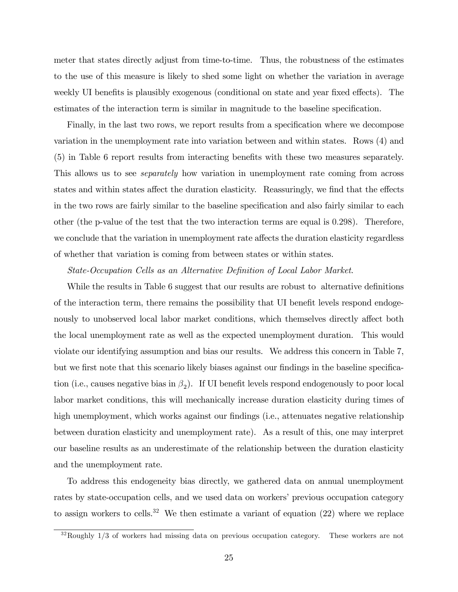meter that states directly adjust from time-to-time. Thus, the robustness of the estimates to the use of this measure is likely to shed some light on whether the variation in average weekly UI benefits is plausibly exogenous (conditional on state and year fixed effects). The estimates of the interaction term is similar in magnitude to the baseline specification.

Finally, in the last two rows, we report results from a specification where we decompose variation in the unemployment rate into variation between and within states. Rows (4) and (5) in Table 6 report results from interacting benefits with these two measures separately. This allows us to see *separately* how variation in unemployment rate coming from across states and within states affect the duration elasticity. Reassuringly, we find that the effects in the two rows are fairly similar to the baseline specification and also fairly similar to each other (the p-value of the test that the two interaction terms are equal is 0:298). Therefore, we conclude that the variation in unemployment rate affects the duration elasticity regardless of whether that variation is coming from between states or within states.

### State-Occupation Cells as an Alternative Definition of Local Labor Market.

While the results in Table 6 suggest that our results are robust to alternative definitions of the interaction term, there remains the possibility that UI benefit levels respond endogenously to unobserved local labor market conditions, which themselves directly affect both the local unemployment rate as well as the expected unemployment duration. This would violate our identifying assumption and bias our results. We address this concern in Table 7, but we first note that this scenario likely biases against our findings in the baseline specification (i.e., causes negative bias in  $\beta_2$ ). If UI benefit levels respond endogenously to poor local labor market conditions, this will mechanically increase duration elasticity during times of high unemployment, which works against our findings (i.e., attenuates negative relationship between duration elasticity and unemployment rate). As a result of this, one may interpret our baseline results as an underestimate of the relationship between the duration elasticity and the unemployment rate.

To address this endogeneity bias directly, we gathered data on annual unemployment rates by state-occupation cells, and we used data on workers' previous occupation category to assign workers to cells.<sup>32</sup> We then estimate a variant of equation  $(22)$  where we replace

 $32$ Roughly  $1/3$  of workers had missing data on previous occupation category. These workers are not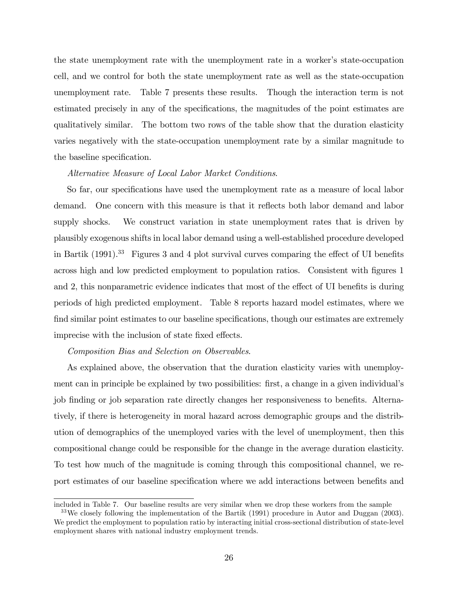the state unemployment rate with the unemployment rate in a worker's state-occupation cell, and we control for both the state unemployment rate as well as the state-occupation unemployment rate. Table 7 presents these results. Though the interaction term is not estimated precisely in any of the specifications, the magnitudes of the point estimates are qualitatively similar. The bottom two rows of the table show that the duration elasticity varies negatively with the state-occupation unemployment rate by a similar magnitude to the baseline specification.

#### Alternative Measure of Local Labor Market Conditions.

So far, our specifications have used the unemployment rate as a measure of local labor demand. One concern with this measure is that it reflects both labor demand and labor supply shocks. We construct variation in state unemployment rates that is driven by plausibly exogenous shifts in local labor demand using a well-established procedure developed in Bartik  $(1991).^{33}$  Figures 3 and 4 plot survival curves comparing the effect of UI benefits across high and low predicted employment to population ratios. Consistent with figures 1 and 2, this nonparametric evidence indicates that most of the effect of UI benefits is during periods of high predicted employment. Table 8 reports hazard model estimates, where we find similar point estimates to our baseline specifications, though our estimates are extremely imprecise with the inclusion of state fixed effects.

#### Composition Bias and Selection on Observables.

As explained above, the observation that the duration elasticity varies with unemployment can in principle be explained by two possibilities: first, a change in a given individual's job finding or job separation rate directly changes her responsiveness to benefits. Alternatively, if there is heterogeneity in moral hazard across demographic groups and the distribution of demographics of the unemployed varies with the level of unemployment, then this compositional change could be responsible for the change in the average duration elasticity. To test how much of the magnitude is coming through this compositional channel, we report estimates of our baseline specification where we add interactions between benefits and

included in Table 7. Our baseline results are very similar when we drop these workers from the sample

<sup>33</sup>We closely following the implementation of the Bartik (1991) procedure in Autor and Duggan (2003). We predict the employment to population ratio by interacting initial cross-sectional distribution of state-level employment shares with national industry employment trends.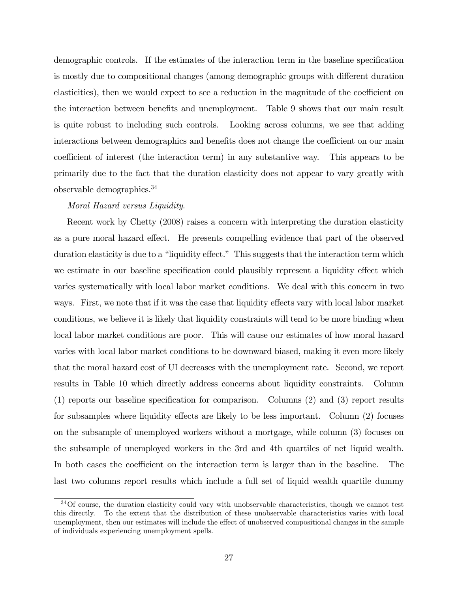demographic controls. If the estimates of the interaction term in the baseline specification is mostly due to compositional changes (among demographic groups with different duration elasticities), then we would expect to see a reduction in the magnitude of the coefficient on the interaction between benefits and unemployment. Table 9 shows that our main result is quite robust to including such controls. Looking across columns, we see that adding interactions between demographics and benefits does not change the coefficient on our main coefficient of interest (the interaction term) in any substantive way. This appears to be primarily due to the fact that the duration elasticity does not appear to vary greatly with observable demographics.<sup>34</sup>

### Moral Hazard versus Liquidity.

Recent work by Chetty (2008) raises a concern with interpreting the duration elasticity as a pure moral hazard effect. He presents compelling evidence that part of the observed duration elasticity is due to a "liquidity effect." This suggests that the interaction term which we estimate in our baseline specification could plausibly represent a liquidity effect which varies systematically with local labor market conditions. We deal with this concern in two ways. First, we note that if it was the case that liquidity effects vary with local labor market conditions, we believe it is likely that liquidity constraints will tend to be more binding when local labor market conditions are poor. This will cause our estimates of how moral hazard varies with local labor market conditions to be downward biased, making it even more likely that the moral hazard cost of UI decreases with the unemployment rate. Second, we report results in Table 10 which directly address concerns about liquidity constraints. Column  $(1)$  reports our baseline specification for comparison. Columns  $(2)$  and  $(3)$  report results for subsamples where liquidity effects are likely to be less important. Column  $(2)$  focuses on the subsample of unemployed workers without a mortgage, while column (3) focuses on the subsample of unemployed workers in the 3rd and 4th quartiles of net liquid wealth. In both cases the coefficient on the interaction term is larger than in the baseline. The last two columns report results which include a full set of liquid wealth quartile dummy

<sup>&</sup>lt;sup>34</sup>Of course, the duration elasticity could vary with unobservable characteristics, though we cannot test this directly. To the extent that the distribution of these unobservable characteristics varies with local unemployment, then our estimates will include the effect of unobserved compositional changes in the sample of individuals experiencing unemployment spells.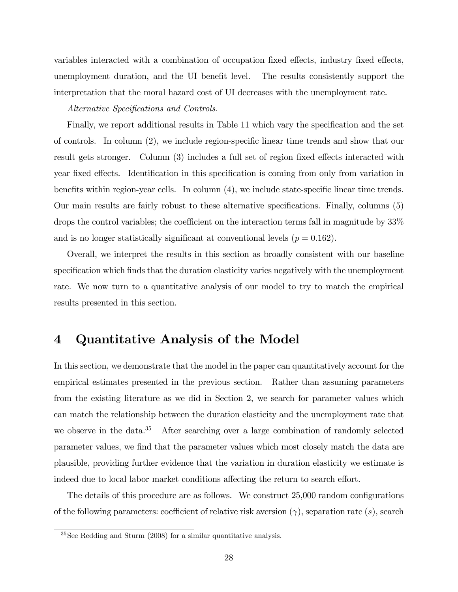variables interacted with a combination of occupation fixed effects, industry fixed effects, unemployment duration, and the UI benefit level. The results consistently support the interpretation that the moral hazard cost of UI decreases with the unemployment rate.

#### Alternative Specifications and Controls.

Finally, we report additional results in Table 11 which vary the specification and the set of controls. In column  $(2)$ , we include region-specific linear time trends and show that our result gets stronger. Column (3) includes a full set of region fixed effects interacted with year fixed effects. Identification in this specification is coming from only from variation in benefits within region-year cells. In column  $(4)$ , we include state-specific linear time trends. Our main results are fairly robust to these alternative specifications. Finally, columns (5) drops the control variables; the coefficient on the interaction terms fall in magnitude by 33% and is no longer statistically significant at conventional levels ( $p = 0.162$ ).

Overall, we interpret the results in this section as broadly consistent with our baseline specification which finds that the duration elasticity varies negatively with the unemployment rate. We now turn to a quantitative analysis of our model to try to match the empirical results presented in this section.

## 4 Quantitative Analysis of the Model

In this section, we demonstrate that the model in the paper can quantitatively account for the empirical estimates presented in the previous section. Rather than assuming parameters from the existing literature as we did in Section 2, we search for parameter values which can match the relationship between the duration elasticity and the unemployment rate that we observe in the data.<sup>35</sup> After searching over a large combination of randomly selected parameter values, we find that the parameter values which most closely match the data are plausible, providing further evidence that the variation in duration elasticity we estimate is indeed due to local labor market conditions affecting the return to search effort.

The details of this procedure are as follows. We construct  $25,000$  random configurations of the following parameters: coefficient of relative risk aversion  $(\gamma)$ , separation rate  $(s)$ , search

 $35$ See Redding and Sturm (2008) for a similar quantitative analysis.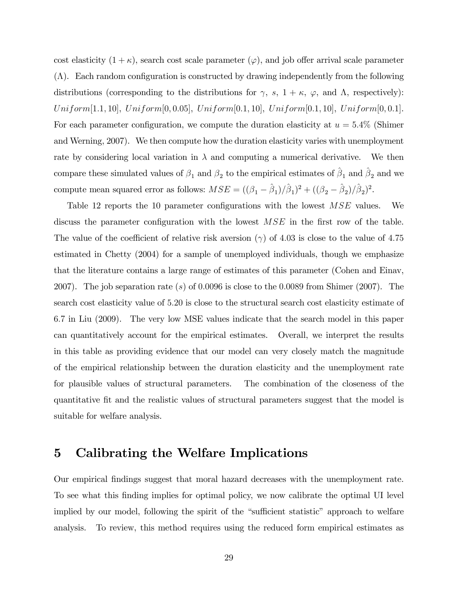cost elasticity  $(1 + \kappa)$ , search cost scale parameter  $(\varphi)$ , and job offer arrival scale parameter  $(\Lambda)$ . Each random configuration is constructed by drawing independently from the following distributions (corresponding to the distributions for  $\gamma$ , s,  $1 + \kappa$ ,  $\varphi$ , and  $\Lambda$ , respectively):  $Uniform[1.1, 10], Uniform[0, 0.05], Uniform[0.1, 10], Uniform[0.1, 10], Uniform[0, 0.1].$ For each parameter configuration, we compute the duration elasticity at  $u = 5.4\%$  (Shimer and Werning, 2007). We then compute how the duration elasticity varies with unemployment rate by considering local variation in  $\lambda$  and computing a numerical derivative. We then compare these simulated values of  $\beta_1$  and  $\beta_2$  to the empirical estimates of  $\hat{\beta}_1$  and  $\hat{\beta}_2$  and we compute mean squared error as follows:  $MSE = ((\beta_1 - \hat{\beta}_1)/\hat{\beta}_1)^2 + ((\beta_2 - \hat{\beta}_2)/\hat{\beta}_2)^2$ .

Table 12 reports the 10 parameter configurations with the lowest  $MSE$  values. We discuss the parameter configuration with the lowest  $MSE$  in the first row of the table. The value of the coefficient of relative risk aversion ( $\gamma$ ) of 4.03 is close to the value of 4.75 estimated in Chetty (2004) for a sample of unemployed individuals, though we emphasize that the literature contains a large range of estimates of this parameter (Cohen and Einav, 2007). The job separation rate (s) of 0.0096 is close to the 0.0089 from Shimer (2007). The search cost elasticity value of 5:20 is close to the structural search cost elasticity estimate of 6:7 in Liu (2009). The very low MSE values indicate that the search model in this paper can quantitatively account for the empirical estimates. Overall, we interpret the results in this table as providing evidence that our model can very closely match the magnitude of the empirical relationship between the duration elasticity and the unemployment rate for plausible values of structural parameters. The combination of the closeness of the quantitative fit and the realistic values of structural parameters suggest that the model is suitable for welfare analysis.

# 5 Calibrating the Welfare Implications

Our empirical Öndings suggest that moral hazard decreases with the unemployment rate. To see what this finding implies for optimal policy, we now calibrate the optimal UI level implied by our model, following the spirit of the "sufficient statistic" approach to welfare analysis. To review, this method requires using the reduced form empirical estimates as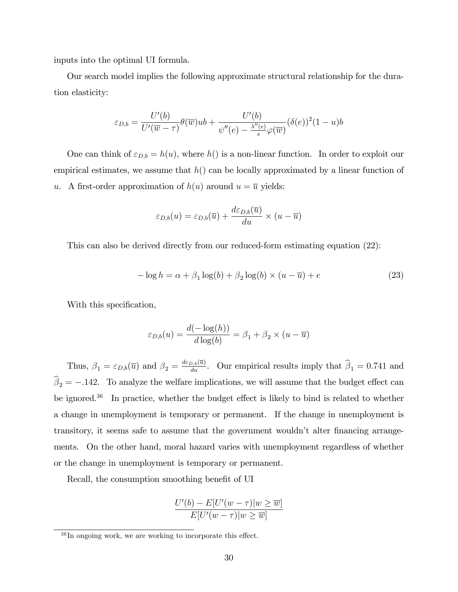inputs into the optimal UI formula.

Our search model implies the following approximate structural relationship for the duration elasticity:

$$
\varepsilon_{D,b} = \frac{U'(b)}{U'(\overline{w}-\tau)} \theta(\overline{w})ub + \frac{U'(b)}{\psi''(e) - \frac{\lambda''(e)}{s} \varphi(\overline{w})} (\delta(e))^2 (1-u)b
$$

One can think of  $\varepsilon_{D,b} = h(u)$ , where  $h()$  is a non-linear function. In order to exploit our empirical estimates, we assume that  $h()$  can be locally approximated by a linear function of u. A first-order approximation of  $h(u)$  around  $u = \overline{u}$  yields:

$$
\varepsilon_{D,b}(u) = \varepsilon_{D,b}(\overline{u}) + \frac{d\varepsilon_{D,b}(\overline{u})}{du} \times (u - \overline{u})
$$

This can also be derived directly from our reduced-form estimating equation (22):

$$
-\log h = \alpha + \beta_1 \log(b) + \beta_2 \log(b) \times (u - \overline{u}) + e \tag{23}
$$

With this specification,

$$
\varepsilon_{D,b}(u) = \frac{d(-\log(h))}{d\log(b)} = \beta_1 + \beta_2 \times (u - \overline{u})
$$

Thus,  $\beta_1 = \varepsilon_{D,b}(\overline{u})$  and  $\beta_2 = \frac{d\varepsilon_{D,b}(\overline{u})}{du}$ . Our empirical results imply that  $\widehat{\beta}_1 = 0.741$  and  $\beta_2 = -.142$ . To analyze the welfare implications, we will assume that the budget effect can be ignored.<sup>36</sup> In practice, whether the budget effect is likely to bind is related to whether a change in unemployment is temporary or permanent. If the change in unemployment is transitory, it seems safe to assume that the government wouldn't alter financing arrangements. On the other hand, moral hazard varies with unemployment regardless of whether or the change in unemployment is temporary or permanent.

Recall, the consumption smoothing benefit of UI

$$
\frac{U'(b) - E[U'(w - \tau)|w \ge \overline{w}]}{E[U'(w - \tau)|w \ge \overline{w}]}
$$

 $36$  In ongoing work, we are working to incorporate this effect.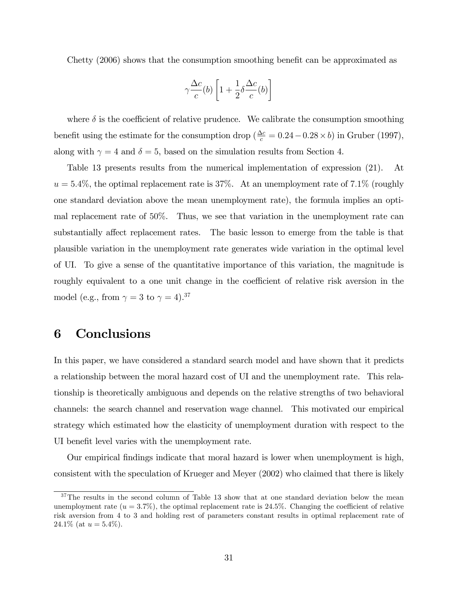Chetty (2006) shows that the consumption smoothing benefit can be approximated as

$$
\gamma \frac{\Delta c}{c}(b) \left[ 1 + \frac{1}{2} \delta \frac{\Delta c}{c}(b) \right]
$$

where  $\delta$  is the coefficient of relative prudence. We calibrate the consumption smoothing benefit using the estimate for the consumption drop  $(\frac{\Delta c}{c} = 0.24 - 0.28 \times b)$  in Gruber (1997), along with  $\gamma = 4$  and  $\delta = 5$ , based on the simulation results from Section 4.

Table 13 presents results from the numerical implementation of expression (21). At  $u = 5.4\%$ , the optimal replacement rate is 37%. At an unemployment rate of 7.1% (roughly one standard deviation above the mean unemployment rate), the formula implies an optimal replacement rate of 50%. Thus, we see that variation in the unemployment rate can substantially affect replacement rates. The basic lesson to emerge from the table is that plausible variation in the unemployment rate generates wide variation in the optimal level of UI. To give a sense of the quantitative importance of this variation, the magnitude is roughly equivalent to a one unit change in the coefficient of relative risk aversion in the model (e.g., from  $\gamma = 3$  to  $\gamma = 4$ ).<sup>37</sup>

# 6 Conclusions

In this paper, we have considered a standard search model and have shown that it predicts a relationship between the moral hazard cost of UI and the unemployment rate. This relationship is theoretically ambiguous and depends on the relative strengths of two behavioral channels: the search channel and reservation wage channel. This motivated our empirical strategy which estimated how the elasticity of unemployment duration with respect to the UI benefit level varies with the unemployment rate.

Our empirical Öndings indicate that moral hazard is lower when unemployment is high, consistent with the speculation of Krueger and Meyer (2002) who claimed that there is likely

<sup>&</sup>lt;sup>37</sup>The results in the second column of Table 13 show that at one standard deviation below the mean unemployment rate  $(u = 3.7\%)$ , the optimal replacement rate is 24.5%. Changing the coefficient of relative risk aversion from 4 to 3 and holding rest of parameters constant results in optimal replacement rate of 24.1\% (at  $u = 5.4\%$ ).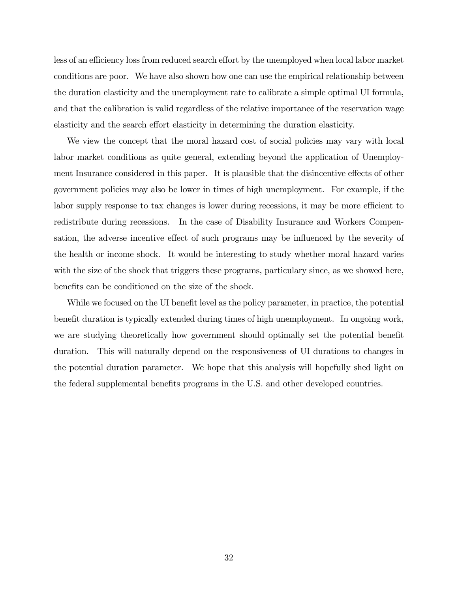less of an efficiency loss from reduced search effort by the unemployed when local labor market conditions are poor. We have also shown how one can use the empirical relationship between the duration elasticity and the unemployment rate to calibrate a simple optimal UI formula, and that the calibration is valid regardless of the relative importance of the reservation wage elasticity and the search effort elasticity in determining the duration elasticity.

We view the concept that the moral hazard cost of social policies may vary with local labor market conditions as quite general, extending beyond the application of Unemployment Insurance considered in this paper. It is plausible that the disincentive effects of other government policies may also be lower in times of high unemployment. For example, if the labor supply response to tax changes is lower during recessions, it may be more efficient to redistribute during recessions. In the case of Disability Insurance and Workers Compensation, the adverse incentive effect of such programs may be influenced by the severity of the health or income shock. It would be interesting to study whether moral hazard varies with the size of the shock that triggers these programs, particulary since, as we showed here, benefits can be conditioned on the size of the shock.

While we focused on the UI benefit level as the policy parameter, in practice, the potential benefit duration is typically extended during times of high unemployment. In ongoing work, we are studying theoretically how government should optimally set the potential benefit duration. This will naturally depend on the responsiveness of UI durations to changes in the potential duration parameter. We hope that this analysis will hopefully shed light on the federal supplemental benefits programs in the U.S. and other developed countries.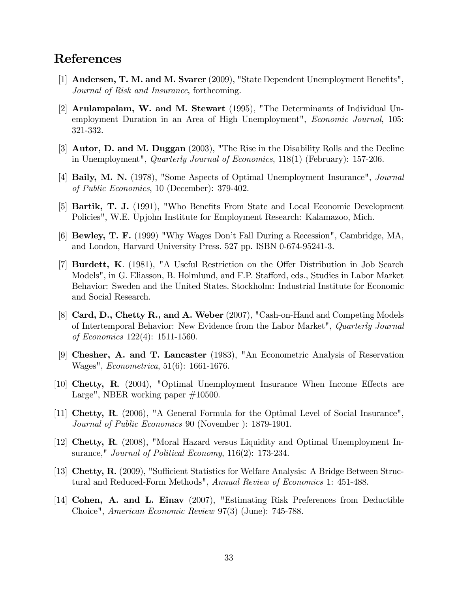# References

- [1] Andersen, T. M. and M. Svarer (2009), "State Dependent Unemployment Benefits", Journal of Risk and Insurance, forthcoming.
- [2] Arulampalam, W. and M. Stewart (1995), "The Determinants of Individual Unemployment Duration in an Area of High Unemployment", *Economic Journal*, 105: 321-332.
- [3] Autor, D. and M. Duggan (2003), "The Rise in the Disability Rolls and the Decline in Unemployment", *Quarterly Journal of Economics*,  $118(1)$  (February): 157-206.
- [4] Baily, M. N. (1978), "Some Aspects of Optimal Unemployment Insurance", Journal of Public Economics, 10 (December): 379-402.
- [5] **Bartik, T. J.** (1991), "Who Benefits From State and Local Economic Development Policies", W.E. Upjohn Institute for Employment Research: Kalamazoo, Mich.
- [6] Bewley, T. F. (1999) "Why Wages Donít Fall During a Recession", Cambridge, MA, and London, Harvard University Press. 527 pp. ISBN 0-674-95241-3.
- [7] **Burdett, K.** (1981), "A Useful Restriction on the Offer Distribution in Job Search Models", in G. Eliasson, B. Holmlund, and F.P. Stafford, eds., Studies in Labor Market Behavior: Sweden and the United States. Stockholm: Industrial Institute for Economic and Social Research.
- [8] Card, D., Chetty R., and A. Weber (2007), "Cash-on-Hand and Competing Models of Intertemporal Behavior: New Evidence from the Labor Market", Quarterly Journal of Economics 122(4): 1511-1560.
- [9] Chesher, A. and T. Lancaster (1983), "An Econometric Analysis of Reservation Wages", Econometrica, 51(6): 1661-1676.
- [10] Chetty, R.  $(2004)$ , "Optimal Unemployment Insurance When Income Effects are Large", NBER working paper  $\#10500$ .
- [11] Chetty, R. (2006), "A General Formula for the Optimal Level of Social Insurance", Journal of Public Economics 90 (November ): 1879-1901.
- [12] Chetty, R. (2008), "Moral Hazard versus Liquidity and Optimal Unemployment Insurance," *Journal of Political Economy*, 116(2): 173-234.
- [13] Chetty, R. (2009), "Sufficient Statistics for Welfare Analysis: A Bridge Between Structural and Reduced-Form Methods", Annual Review of Economics 1: 451-488.
- [14] Cohen, A. and L. Einav (2007), "Estimating Risk Preferences from Deductible Choice", American Economic Review 97(3) (June): 745-788.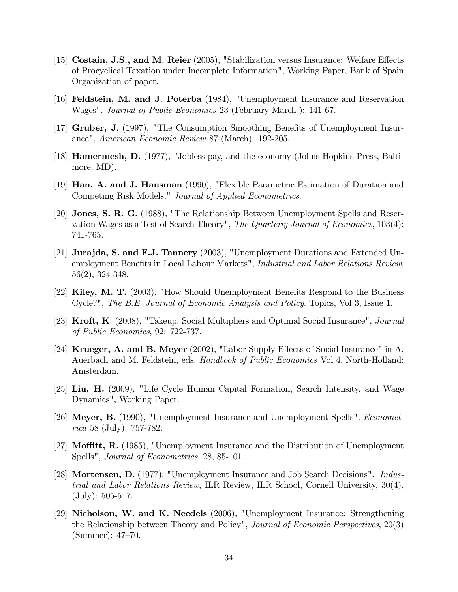- [15] Costain, J.S., and M. Reier  $(2005)$ , "Stabilization versus Insurance: Welfare Effects of Procyclical Taxation under Incomplete Information", Working Paper, Bank of Spain Organization of paper.
- [16] Feldstein, M. and J. Poterba (1984), "Unemployment Insurance and Reservation Wages", Journal of Public Economics 23 (February-March ): 141-67.
- [17] Gruber, J. (1997), "The Consumption Smoothing Benefits of Unemployment Insurance", American Economic Review 87 (March): 192-205.
- [18] Hamermesh, D. (1977), "Jobless pay, and the economy (Johns Hopkins Press, Baltimore, MD).
- [19] Han, A. and J. Hausman (1990), "Flexible Parametric Estimation of Duration and Competing Risk Models," Journal of Applied Econometrics.
- [20] Jones, S. R. G. (1988), "The Relationship Between Unemployment Spells and Reservation Wages as a Test of Search Theory", The Quarterly Journal of Economics, 103(4): 741-765.
- [21] Jurajda, S. and F.J. Tannery (2003), "Unemployment Durations and Extended Unemployment Benefits in Local Labour Markets", Industrial and Labor Relations Review, 56(2), 324-348.
- [22] Kiley, M. T. (2003), "How Should Unemployment Benefits Respond to the Business Cycle?", The B.E. Journal of Economic Analysis and Policy. Topics, Vol 3, Issue 1.
- [23] Kroft, K. (2008), "Takeup, Social Multipliers and Optimal Social Insurance", Journal of Public Economics, 92: 722-737.
- [24] Krueger, A. and B. Meyer (2002), "Labor Supply Effects of Social Insurance" in A. Auerbach and M. Feldstein, eds. Handbook of Public Economics Vol 4. North-Holland: Amsterdam.
- [25] Liu, H. (2009), "Life Cycle Human Capital Formation, Search Intensity, and Wage Dynamics", Working Paper.
- [26] Meyer, B. (1990), "Unemployment Insurance and Unemployment Spells". Econometrica 58 (July): 757-782.
- [27] **Moffitt, R.** (1985), "Unemployment Insurance and the Distribution of Unemployment Spells", Journal of Econometrics, 28, 85-101.
- [28] Mortensen, D. (1977), "Unemployment Insurance and Job Search Decisions". Industrial and Labor Relations Review, ILR Review, ILR School, Cornell University, 30(4), (July): 505-517.
- [29] Nicholson, W. and K. Needels (2006), "Unemployment Insurance: Strengthening the Relationship between Theory and Policy", Journal of Economic Perspectives, 20(3)  $(Summer): 47–70.$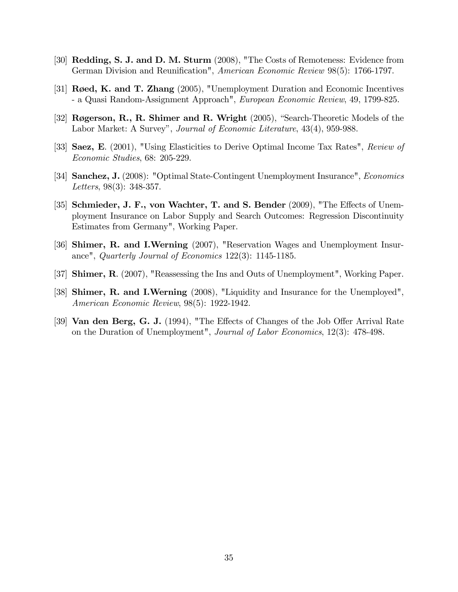- [30] Redding, S. J. and D. M. Sturm (2008), "The Costs of Remoteness: Evidence from German Division and Reunification", American Economic Review 98(5): 1766-1797.
- [31]  $\text{Røed}, \text{K}$  and T. Zhang (2005), "Unemployment Duration and Economic Incentives - a Quasi Random-Assignment Approach", European Economic Review, 49, 1799-825.
- [32] Røgerson, R., R. Shimer and R. Wright  $(2005)$ , "Search-Theoretic Models of the Labor Market: A Survey", Journal of Economic Literature, 43(4), 959-988.
- [33] Saez, E. (2001), "Using Elasticities to Derive Optimal Income Tax Rates", Review of Economic Studies, 68: 205-229.
- [34] Sanchez, J. (2008): "Optimal State-Contingent Unemployment Insurance", Economics Letters, 98(3): 348-357.
- [35] Schmieder, J. F., von Wachter, T. and S. Bender (2009), "The Effects of Unemployment Insurance on Labor Supply and Search Outcomes: Regression Discontinuity Estimates from Germany", Working Paper.
- [36] Shimer, R. and I.Werning (2007), "Reservation Wages and Unemployment Insurance", Quarterly Journal of Economics 122(3): 1145-1185.
- [37] Shimer, R. (2007), "Reassessing the Ins and Outs of Unemployment", Working Paper.
- [38] Shimer, R. and I.Werning (2008), "Liquidity and Insurance for the Unemployed", American Economic Review, 98(5): 1922-1942.
- [39] **Van den Berg, G. J.** (1994), "The Effects of Changes of the Job Offer Arrival Rate on the Duration of Unemployment", Journal of Labor Economics, 12(3): 478-498.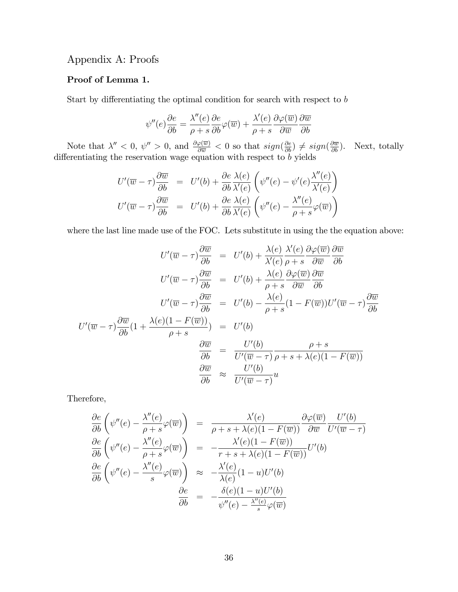# Appendix A: Proofs

### Proof of Lemma 1.

Start by differentiating the optimal condition for search with respect to  $b$ 

$$
\psi''(e)\frac{\partial e}{\partial b} = \frac{\lambda''(e)}{\rho + s}\frac{\partial e}{\partial b}\varphi(\overline{w}) + \frac{\lambda'(e)}{\rho + s}\frac{\partial \varphi(\overline{w})}{\partial \overline{w}}\frac{\partial \overline{w}}{\partial b}
$$

Note that  $\lambda'' < 0$ ,  $\psi'' > 0$ , and  $\frac{\partial \varphi(\overline{w})}{\partial \overline{w}} < 0$  so that  $sign(\frac{\partial e}{\partial b}) \neq sign(\frac{\partial \overline{w}}{\partial b})$ . Next, totally differentiating the reservation wage equation with respect to  $b$  yields

$$
U'(\overline{w} - \tau) \frac{\partial \overline{w}}{\partial b} = U'(b) + \frac{\partial e}{\partial b} \frac{\lambda(e)}{\lambda'(e)} \left( \psi''(e) - \psi'(e) \frac{\lambda''(e)}{\lambda'(e)} \right)
$$
  

$$
U'(\overline{w} - \tau) \frac{\partial \overline{w}}{\partial b} = U'(b) + \frac{\partial e}{\partial b} \frac{\lambda(e)}{\lambda'(e)} \left( \psi''(e) - \frac{\lambda''(e)}{\rho + s} \varphi(\overline{w}) \right)
$$

where the last line made use of the FOC. Lets substitute in using the the equation above:

$$
U'(\overline{w} - \tau) \frac{\partial \overline{w}}{\partial b} = U'(b) + \frac{\lambda(e)}{\lambda'(e)} \frac{\lambda'(e)}{\rho + s} \frac{\partial \varphi(\overline{w})}{\partial \overline{w}} \frac{\partial \overline{w}}{\partial b}
$$
  

$$
U'(\overline{w} - \tau) \frac{\partial \overline{w}}{\partial b} = U'(b) + \frac{\lambda(e)}{\rho + s} \frac{\partial \varphi(\overline{w})}{\partial \overline{w}} \frac{\partial \overline{w}}{\partial b}
$$
  

$$
U'(\overline{w} - \tau) \frac{\partial \overline{w}}{\partial b} = U'(b) - \frac{\lambda(e)}{\rho + s} (1 - F(\overline{w})) U'(\overline{w} - \tau) \frac{\partial \overline{w}}{\partial b}
$$
  

$$
U'(\overline{w} - \tau) \frac{\partial \overline{w}}{\partial b} (1 + \frac{\lambda(e)(1 - F(\overline{w}))}{\rho + s}) = U'(b)
$$
  

$$
\frac{\partial \overline{w}}{\partial b} = \frac{U'(b)}{U'(\overline{w} - \tau)} \frac{\rho + s}{\rho + s + \lambda(e)(1 - F(\overline{w}))}
$$
  

$$
\frac{\partial \overline{w}}{\partial b} \approx \frac{U'(b)}{U'(\overline{w} - \tau)} u
$$

Therefore,

$$
\frac{\partial e}{\partial b} \left( \psi''(e) - \frac{\lambda''(e)}{\rho + s} \varphi(\overline{w}) \right) = \frac{\lambda'(e)}{\rho + s + \lambda(e)(1 - F(\overline{w}))} \frac{\partial \varphi(\overline{w})}{\partial \overline{w}} \frac{U'(b)}{U'(\overline{w} - \tau)}
$$

$$
\frac{\partial e}{\partial b} \left( \psi''(e) - \frac{\lambda''(e)}{\rho + s} \varphi(\overline{w}) \right) = -\frac{\lambda'(e)(1 - F(\overline{w}))}{r + s + \lambda(e)(1 - F(\overline{w}))} U'(b)
$$

$$
\frac{\partial e}{\partial b} \left( \psi''(e) - \frac{\lambda''(e)}{s} \varphi(\overline{w}) \right) \approx -\frac{\lambda'(e)}{\lambda(e)} (1 - u) U'(b)
$$

$$
\frac{\partial e}{\partial b} = -\frac{\delta(e)(1 - u)U'(b)}{\psi''(e) - \frac{\lambda''(e)}{s} \varphi(\overline{w})}
$$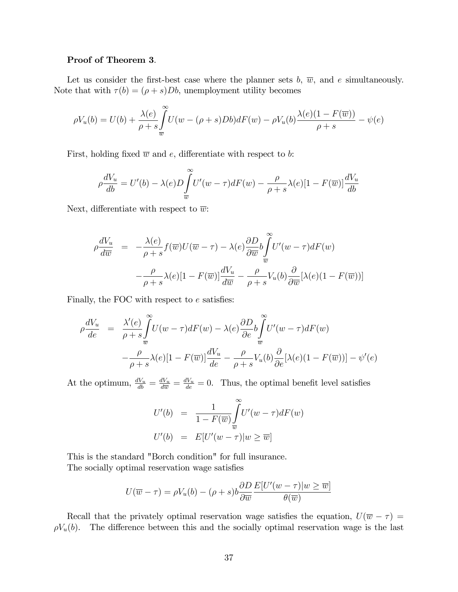### Proof of Theorem 3.

Let us consider the first-best case where the planner sets b,  $\overline{w}$ , and e simultaneously. Note that with  $\tau(b) = (\rho + s)Db$ , unemployment utility becomes

$$
\rho V_u(b) = U(b) + \frac{\lambda(e)}{\rho + s} \int_{\overline{w}}^{\infty} U(w - (\rho + s)Db) dF(w) - \rho V_u(b) \frac{\lambda(e)(1 - F(\overline{w}))}{\rho + s} - \psi(e)
$$

First, holding fixed  $\overline{w}$  and e, differentiate with respect to b:

$$
\rho \frac{dV_u}{db} = U'(b) - \lambda(e)D \int_{\overline{w}}^{\infty} U'(w - \tau) dF(w) - \frac{\rho}{\rho + s} \lambda(e)[1 - F(\overline{w})] \frac{dV_u}{db}
$$

Next, differentiate with respect to  $\overline{w}$ :

$$
\rho \frac{dV_u}{d\overline{w}} = -\frac{\lambda(e)}{\rho + s} f(\overline{w}) U(\overline{w} - \tau) - \lambda(e) \frac{\partial D}{\partial \overline{w}} b \int_{\overline{w}}^{\infty} U'(w - \tau) dF(w) \n- \frac{\rho}{\rho + s} \lambda(e) [1 - F(\overline{w})] \frac{dV_u}{d\overline{w}} - \frac{\rho}{\rho + s} V_u(b) \frac{\partial}{\partial \overline{w}} [\lambda(e) (1 - F(\overline{w}))]
$$

Finally, the FOC with respect to  $e$  satisfies:

$$
\rho \frac{dV_u}{de} = \frac{\lambda'(e)}{\rho + s} \int_{\overline{w}}^{\infty} U(w - \tau) dF(w) - \lambda(e) \frac{\partial D}{\partial e} b \int_{\overline{w}}^{\infty} U'(w - \tau) dF(w) \n- \frac{\rho}{\rho + s} \lambda(e) [1 - F(\overline{w})] \frac{dV_u}{de} - \frac{\rho}{\rho + s} V_u(b) \frac{\partial}{\partial e} [\lambda(e) (1 - F(\overline{w}))] - \psi'(e)
$$

At the optimum,  $\frac{dV_u}{db} = \frac{dV_u}{d\overline{w}} = \frac{dV_u}{de} = 0$ . Thus, the optimal benefit level satisfies

$$
U'(b) = \frac{1}{1 - F(\overline{w})} \int_{\overline{w}}^{\infty} U'(w - \tau) dF(w)
$$
  

$$
U'(b) = E[U'(w - \tau)|w \ge \overline{w}]
$$

This is the standard "Borch condition" for full insurance. The socially optimal reservation wage satisfies

$$
U(\overline{w} - \tau) = \rho V_u(b) - (\rho + s)b \frac{\partial D}{\partial \overline{w}} \frac{E[U'(w - \tau)]w \ge \overline{w}]}{\theta(\overline{w})}
$$

Recall that the privately optimal reservation wage satisfies the equation,  $U(\overline{w} - \tau) =$  $\rho V_u(b)$ . The difference between this and the socially optimal reservation wage is the last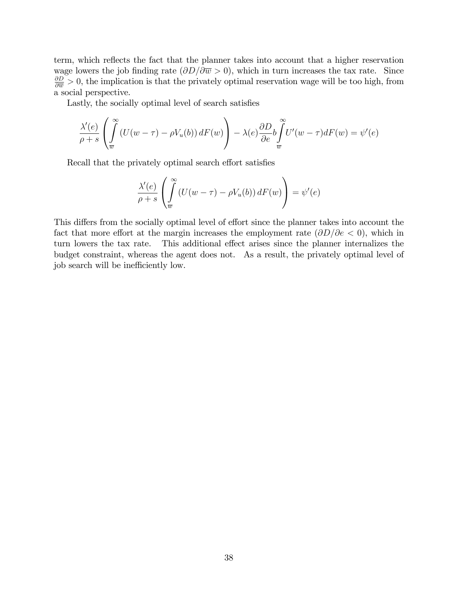term, which reflects the fact that the planner takes into account that a higher reservation wage lowers the job finding rate  $(\partial D/\partial \overline{w} > 0)$ , which in turn increases the tax rate. Since  $\frac{\partial D}{\partial w} > 0$ , the implication is that the privately optimal reservation wage will be too high, from a social perspective.

Lastly, the socially optimal level of search satisfies

$$
\frac{\lambda'(e)}{\rho+s}\left(\int\limits_{\overline{w}}^{\infty}\left(U(w-\tau)-\rho V_u(b)\right)dF(w)\right)-\lambda(e)\frac{\partial D}{\partial e}b\int\limits_{\overline{w}}^{\infty}U'(w-\tau)dF(w)=\psi'(e)
$$

Recall that the privately optimal search effort satisfies

$$
\frac{\lambda'(e)}{\rho+s}\left(\int\limits_{\overline{w}}^{\infty}\left(U(w-\tau)-\rho V_u(b)\right)dF(w)\right)=\psi'(e)
$$

This differs from the socially optimal level of effort since the planner takes into account the fact that more effort at the margin increases the employment rate  $(\partial D/\partial e < 0)$ , which in turn lowers the tax rate. This additional effect arises since the planner internalizes the budget constraint, whereas the agent does not. As a result, the privately optimal level of job search will be inefficiently low.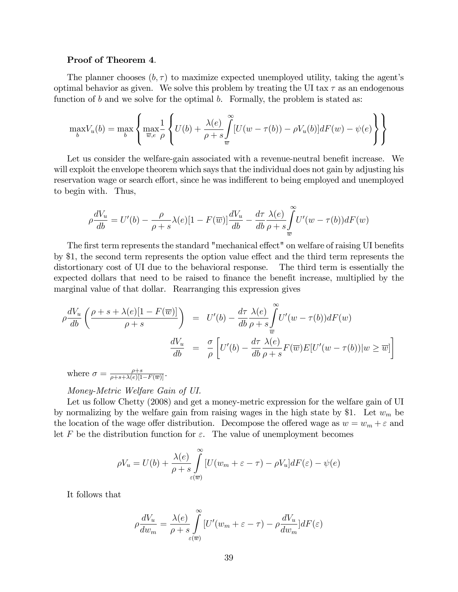#### Proof of Theorem 4.

The planner chooses  $(b, \tau)$  to maximize expected unemployed utility, taking the agent's optimal behavior as given. We solve this problem by treating the UI tax  $\tau$  as an endogenous function of b and we solve for the optimal b. Formally, the problem is stated as:

$$
\max_{b} V_u(b) = \max_{b} \left\{ \max_{\overline{w}, e} \frac{1}{\rho} \left\{ U(b) + \frac{\lambda(e)}{\rho + s} \int_{\overline{w}}^{\infty} [U(w - \tau(b)) - \rho V_u(b)] dF(w) - \psi(e) \right\} \right\}
$$

Let us consider the welfare-gain associated with a revenue-neutral benefit increase. We will exploit the envelope theorem which says that the individual does not gain by adjusting his reservation wage or search effort, since he was indifferent to being employed and unemployed to begin with. Thus,

$$
\rho \frac{dV_u}{db} = U'(b) - \frac{\rho}{\rho + s} \lambda(e) [1 - F(\overline{w})] \frac{dV_u}{db} - \frac{d\tau}{db} \frac{\lambda(e)}{\rho + s} \int_{\overline{w}}^{\infty} U'(w - \tau(b)) dF(w)
$$

The first term represents the standard "mechanical effect" on welfare of raising UI benefits by \$1, the second term represents the option value effect and the third term represents the distortionary cost of UI due to the behavioral response. The third term is essentially the expected dollars that need to be raised to finance the benefit increase, multiplied by the marginal value of that dollar. Rearranging this expression gives

$$
\rho \frac{dV_u}{db} \left( \frac{\rho + s + \lambda(e)[1 - F(\overline{w})]}{\rho + s} \right) = U'(b) - \frac{d\tau}{db} \frac{\lambda(e)}{\rho + s} \int_{\overline{w}}^{\infty} U'(w - \tau(b)) dF(w)
$$

$$
\frac{dV_u}{db} = \frac{\sigma}{\rho} \left[ U'(b) - \frac{d\tau}{db} \frac{\lambda(e)}{\rho + s} F(\overline{w}) E[U'(w - \tau(b)) | w \ge \overline{w} \right]
$$

where  $\sigma = \frac{\rho+s}{\rho+s+\lambda(e)[1-F(\overline{w})]}.$ 

Money-Metric Welfare Gain of UI.

Let us follow Chetty (2008) and get a money-metric expression for the welfare gain of UI by normalizing by the welfare gain from raising wages in the high state by \$1. Let  $w_m$  be the location of the wage offer distribution. Decompose the offered wage as  $w = w_m + \varepsilon$  and let F be the distribution function for  $\varepsilon$ . The value of unemployment becomes

$$
\rho V_u = U(b) + \frac{\lambda(e)}{\rho + s} \int_{\varepsilon(\overline{w})}^{\infty} [U(w_m + \varepsilon - \tau) - \rho V_u] dF(\varepsilon) - \psi(e)
$$

It follows that

$$
\rho \frac{dV_u}{dw_m} = \frac{\lambda(e)}{\rho + s} \int_{\varepsilon(\overline{w})}^{\infty} \left[ U'(w_m + \varepsilon - \tau) - \rho \frac{dV_u}{dw_m} \right] dF(\varepsilon)
$$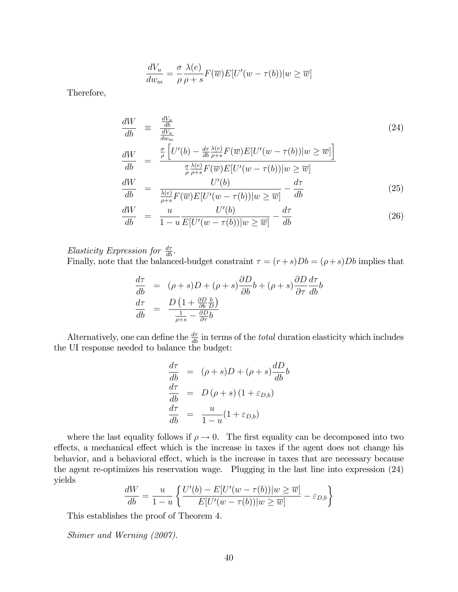$$
\frac{dV_u}{dw_m} = \frac{\sigma}{\rho} \frac{\lambda(e)}{\rho + s} F(\overline{w}) E[U'(w - \tau(b)) | w \ge \overline{w}]
$$

Therefore,

$$
\frac{dW}{db} \equiv \frac{\frac{dV_u}{db}}{\frac{dV_w}{db}} \n\frac{dW}{db} = \frac{\frac{\sigma}{\rho} \left[ U'(b) - \frac{d\tau}{db} \frac{\lambda(e)}{\rho + s} F(\overline{w}) E[U'(w - \tau(b)) | w \ge \overline{w} \right]}{\frac{\sigma}{\rho} \frac{\lambda(e)}{\rho + s} F(\overline{w}) E[U'(w - \tau(b)) | w \ge \overline{w}]} \n\frac{dW}{db} = \frac{U'(b)}{\frac{\lambda(e)}{\rho + s} F(\overline{w}) E[U'(w - \tau(b)) | w \ge \overline{w}]} - \frac{d\tau}{db}
$$
\n(25)

$$
\frac{dW}{db} = \frac{u}{1-u} \frac{U'(b)}{E[U'(w-\tau(b))]w \ge \overline{w}} - \frac{d\tau}{db} \tag{26}
$$

Elasticity Expression for  $\frac{d\tau}{db}$ . Finally, note that the balanced-budget constraint  $\tau = (r+s)Db = (\rho + s)Db$  implies that

$$
\frac{d\tau}{db} = (\rho + s)D + (\rho + s)\frac{\partial D}{\partial b}b + (\rho + s)\frac{\partial D}{\partial \tau}\frac{d\tau}{db}
$$
\n
$$
\frac{d\tau}{db} = \frac{D\left(1 + \frac{\partial D}{\partial b}\frac{b}{D}\right)}{\frac{1}{\rho + s} - \frac{\partial D}{\partial \tau}b}
$$

Alternatively, one can define the  $\frac{d\tau}{db}$  in terms of the *total* duration elasticity which includes the UI response needed to balance the budget:

$$
\frac{d\tau}{db} = (\rho + s)D + (\rho + s)\frac{dD}{db}b
$$

$$
\frac{d\tau}{db} = D(\rho + s) (1 + \varepsilon_{D,b})
$$

$$
\frac{d\tau}{db} = \frac{u}{1 - u}(1 + \varepsilon_{D,b})
$$

where the last equality follows if  $\rho \to 0$ . The first equality can be decomposed into two effects, a mechanical effect which is the increase in taxes if the agent does not change his behavior, and a behavioral effect, which is the increase in taxes that are necessary because the agent re-optimizes his reservation wage. Plugging in the last line into expression (24) yields

$$
\frac{dW}{db} = \frac{u}{1-u} \left\{ \frac{U'(b) - E[U'(w - \tau(b)) | w \ge \overline{w}]}{E[U'(w - \tau(b)) | w \ge \overline{w}]} - \varepsilon_{D,b} \right\}
$$

This establishes the proof of Theorem 4.

Shimer and Werning (2007).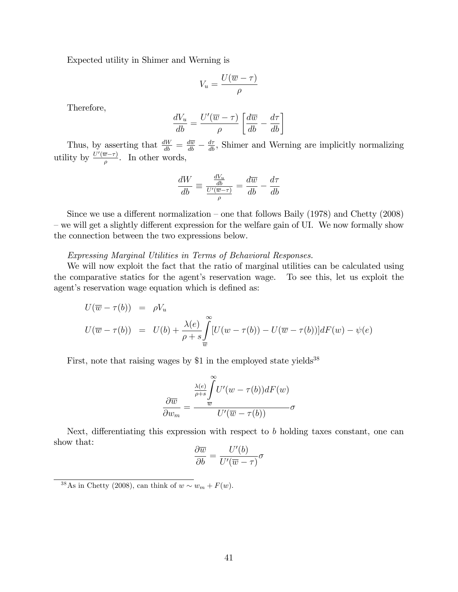Expected utility in Shimer and Werning is

$$
V_u = \frac{U(\overline{w} - \tau)}{\rho}
$$

Therefore,

$$
\frac{dV_u}{db} = \frac{U'(\overline{w} - \tau)}{\rho} \left[ \frac{d\overline{w}}{db} - \frac{d\tau}{db} \right]
$$

Thus, by asserting that  $\frac{dW}{db} = \frac{d\overline{w}}{db} - \frac{d\tau}{db}$ , Shimer and Werning are implicitly normalizing utility by  $\frac{U'(\overline{w}-\tau)}{\rho}$ . In other words,

$$
\frac{dW}{db} \equiv \frac{\frac{dV_u}{db}}{\frac{U'(\overline{w}-\tau)}{\rho}} = \frac{d\overline{w}}{db} - \frac{d\tau}{db}
$$

Since we use a different normalization – one that follows Baily (1978) and Chetty (2008) – we will get a slightly different expression for the welfare gain of UI. We now formally show the connection between the two expressions below.

Expressing Marginal Utilities in Terms of Behavioral Responses.

We will now exploit the fact that the ratio of marginal utilities can be calculated using the comparative statics for the agent's reservation wage. To see this, let us exploit the agent's reservation wage equation which is defined as:

$$
U(\overline{w} - \tau(b)) = \rho V_u
$$
  
\n
$$
U(\overline{w} - \tau(b)) = U(b) + \frac{\lambda(e)}{\rho + s} \int_{\overline{w}}^{\infty} [U(w - \tau(b)) - U(\overline{w} - \tau(b))] dF(w) - \psi(e)
$$

First, note that raising wages by \$1 in the employed state yields<sup>38</sup>

$$
\frac{\partial \overline{w}}{\partial w_m} = \frac{\frac{\lambda(e)}{\rho+s} \int\limits_{\overline{w}}^{\infty} U'(w - \tau(b)) dF(w)}{U'(\overline{w} - \tau(b))} \sigma
$$

Next, differentiating this expression with respect to b holding taxes constant, one can show that:

$$
\frac{\partial \overline{w}}{\partial b} = \frac{U'(b)}{U'(\overline{w} - \tau)} \sigma
$$

<sup>&</sup>lt;sup>38</sup>As in Chetty (2008), can think of  $w \sim w_m + F(w)$ .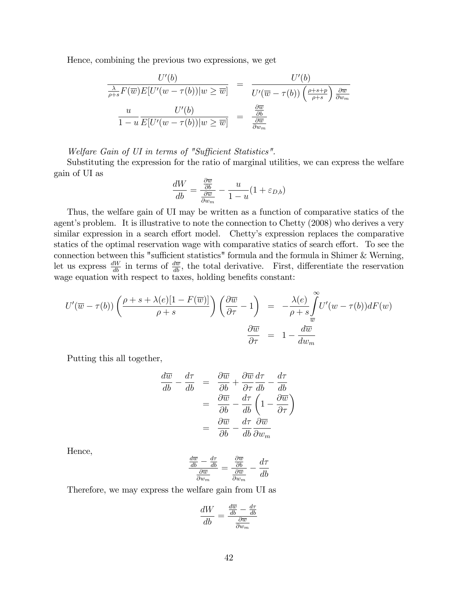Hence, combining the previous two expressions, we get

$$
\frac{U'(b)}{\frac{\lambda}{\rho+s}F(\overline{w})E[U'(w-\tau(b))|w\geq \overline{w}]} = \frac{U'(b)}{U'(\overline{w}-\tau(b))\left(\frac{\rho+s+p}{\rho+s}\right)\frac{\partial \overline{w}}{\partial w_m}}
$$

$$
\frac{u}{1-u}\frac{U'(b)}{E[U'(w-\tau(b))|w\geq \overline{w}]} = \frac{\frac{\partial \overline{w}}{\partial b}}{\frac{\partial \overline{w}}{\partial w_m}}
$$

Welfare Gain of UI in terms of "Sufficient Statistics".

Substituting the expression for the ratio of marginal utilities, we can express the welfare gain of UI as

$$
\frac{dW}{db} = \frac{\frac{\partial \overline{w}}{\partial b}}{\frac{\partial \overline{w}}{\partial w_m}} - \frac{u}{1-u}(1 + \varepsilon_{D,b})
$$

Thus, the welfare gain of UI may be written as a function of comparative statics of the agent's problem. It is illustrative to note the connection to Chetty (2008) who derives a very similar expression in a search effort model. Chetty's expression replaces the comparative statics of the optimal reservation wage with comparative statics of search effort. To see the connection between this "sufficient statistics" formula and the formula in Shimer  $&$  Werning, let us express  $\frac{dW}{db}$  in terms of  $\frac{d\overline{w}}{db}$ , the total derivative. First, differentiate the reservation wage equation with respect to taxes, holding benefits constant:

$$
U'(\overline{w} - \tau(b))\left(\frac{\rho + s + \lambda(e)[1 - F(\overline{w})]}{\rho + s}\right)\left(\frac{\partial \overline{w}}{\partial \tau} - 1\right) = -\frac{\lambda(e)}{\rho + s} \int_{\overline{w}}^{\infty} U'(w - \tau(b))dF(w)
$$

$$
\frac{\partial \overline{w}}{\partial \tau} = 1 - \frac{d\overline{w}}{dw_m}
$$

Putting this all together,

$$
\frac{d\overline{w}}{db} - \frac{d\tau}{db} = \frac{\partial \overline{w}}{\partial b} + \frac{\partial \overline{w}}{\partial \tau} \frac{d\tau}{db} - \frac{d\tau}{db}
$$

$$
= \frac{\partial \overline{w}}{\partial b} - \frac{d\tau}{db} \left( 1 - \frac{\partial \overline{w}}{\partial \tau} \right)
$$

$$
= \frac{\partial \overline{w}}{\partial b} - \frac{d\tau}{db} \frac{\partial \overline{w}}{\partial w_m}
$$

Hence,

$$
\frac{\frac{d\overline{w}}{db} - \frac{d\tau}{db}}{\frac{\partial \overline{w}}{\partial w_m}} = \frac{\frac{\partial \overline{w}}{\partial b}}{\frac{\partial \overline{w}}{\partial w_m}} - \frac{d\tau}{db}
$$

Therefore, we may express the welfare gain from UI as

$$
\frac{dW}{db} = \frac{\frac{d\overline{w}}{db} - \frac{d\tau}{db}}{\frac{\partial \overline{w}}{\partial w_m}}
$$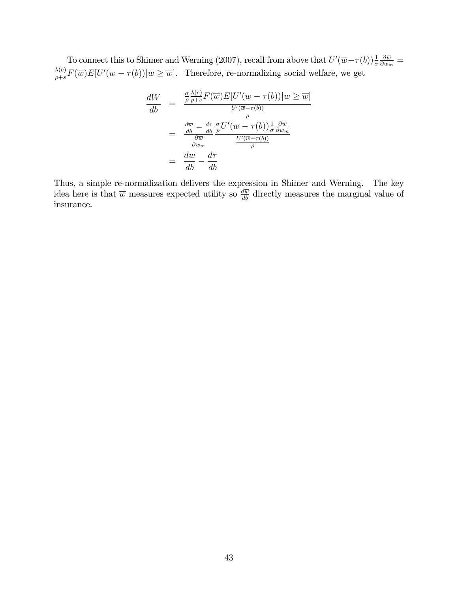To connect this to Shimer and Werning (2007), recall from above that  $U'(\overline{w}-\tau(b))\frac{1}{\sigma}$  $\partial \overline{w}$  $\frac{\partial \overline{w}}{\partial w_m} =$  $\lambda(e)$  $\frac{\lambda(e)}{\rho+s}F(\overline{w})E[U'(w-\tau(b))]w \geq \overline{w}$ . Therefore, re-normalizing social welfare, we get

$$
\frac{dW}{db} = \frac{\frac{\sigma}{\rho} \frac{\lambda(e)}{\rho+s} F(\overline{w}) E[U'(w - \tau(b))] w \ge \overline{w}]}{\frac{U'(\overline{w} - \tau(b))}{\rho}}
$$
\n
$$
= \frac{\frac{d\overline{w}}{db} - \frac{d\tau}{db} \frac{\sigma}{\rho} U'(\overline{w} - \tau(b)) \frac{1}{\sigma} \frac{\partial \overline{w}}{\partial w_m}}{\frac{U'(\overline{w} - \tau(b))}{\rho}}
$$
\n
$$
= \frac{d\overline{w}}{db} - \frac{d\tau}{db}
$$

Thus, a simple re-normalization delivers the expression in Shimer and Werning. The key idea here is that  $\overline{w}$  measures expected utility so  $\frac{d\overline{w}}{db}$  directly measures the marginal value of insurance.